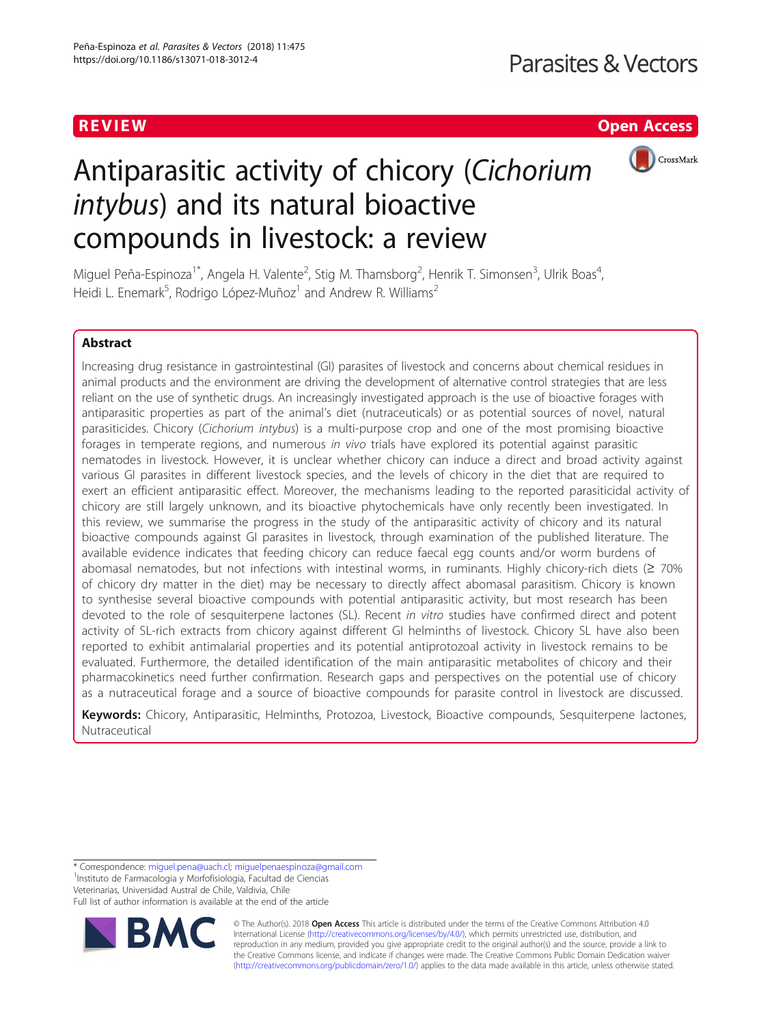REVIEW AND REVIEW IN THE SERVICE OF THE SERVICE OF THE SERVICE OF THE SERVICE OF THE SERVICE OF THE SERVICE OF



# Antiparasitic activity of chicory (Cichorium intybus) and its natural bioactive compounds in livestock: a review

Miguel Peña-Espinoza<sup>1\*</sup>, Angela H. Valente<sup>2</sup>, Stig M. Thamsborg<sup>2</sup>, Henrik T. Simonsen<sup>3</sup>, Ulrik Boas<sup>4</sup> , Heidi L. Enemark<sup>5</sup>, Rodrigo López-Muñoz<sup>1</sup> and Andrew R. Williams<sup>2</sup>

# Abstract

Increasing drug resistance in gastrointestinal (GI) parasites of livestock and concerns about chemical residues in animal products and the environment are driving the development of alternative control strategies that are less reliant on the use of synthetic drugs. An increasingly investigated approach is the use of bioactive forages with antiparasitic properties as part of the animal's diet (nutraceuticals) or as potential sources of novel, natural parasiticides. Chicory (Cichorium intybus) is a multi-purpose crop and one of the most promising bioactive forages in temperate regions, and numerous in vivo trials have explored its potential against parasitic nematodes in livestock. However, it is unclear whether chicory can induce a direct and broad activity against various GI parasites in different livestock species, and the levels of chicory in the diet that are required to exert an efficient antiparasitic effect. Moreover, the mechanisms leading to the reported parasiticidal activity of chicory are still largely unknown, and its bioactive phytochemicals have only recently been investigated. In this review, we summarise the progress in the study of the antiparasitic activity of chicory and its natural bioactive compounds against GI parasites in livestock, through examination of the published literature. The available evidence indicates that feeding chicory can reduce faecal egg counts and/or worm burdens of abomasal nematodes, but not infections with intestinal worms, in ruminants. Highly chicory-rich diets (≥ 70% of chicory dry matter in the diet) may be necessary to directly affect abomasal parasitism. Chicory is known to synthesise several bioactive compounds with potential antiparasitic activity, but most research has been devoted to the role of sesquiterpene lactones (SL). Recent in vitro studies have confirmed direct and potent activity of SL-rich extracts from chicory against different GI helminths of livestock. Chicory SL have also been reported to exhibit antimalarial properties and its potential antiprotozoal activity in livestock remains to be evaluated. Furthermore, the detailed identification of the main antiparasitic metabolites of chicory and their pharmacokinetics need further confirmation. Research gaps and perspectives on the potential use of chicory as a nutraceutical forage and a source of bioactive compounds for parasite control in livestock are discussed.

Keywords: Chicory, Antiparasitic, Helminths, Protozoa, Livestock, Bioactive compounds, Sesquiterpene lactones, Nutraceutical

\* Correspondence: [miguel.pena@uach.cl;](mailto:miguel.pena@uach.cl) [miguelpenaespinoza@gmail.com](mailto:miguelpenaespinoza@gmail.com) <sup>1</sup> <sup>1</sup> Instituto de Farmacologia y Morfofisiologia, Facultad de Ciencias

Veterinarias, Universidad Austral de Chile, Valdivia, Chile

Full list of author information is available at the end of the article



© The Author(s). 2018 Open Access This article is distributed under the terms of the Creative Commons Attribution 4.0 International License [\(http://creativecommons.org/licenses/by/4.0/](http://creativecommons.org/licenses/by/4.0/)), which permits unrestricted use, distribution, and reproduction in any medium, provided you give appropriate credit to the original author(s) and the source, provide a link to the Creative Commons license, and indicate if changes were made. The Creative Commons Public Domain Dedication waiver [\(http://creativecommons.org/publicdomain/zero/1.0/](http://creativecommons.org/publicdomain/zero/1.0/)) applies to the data made available in this article, unless otherwise stated.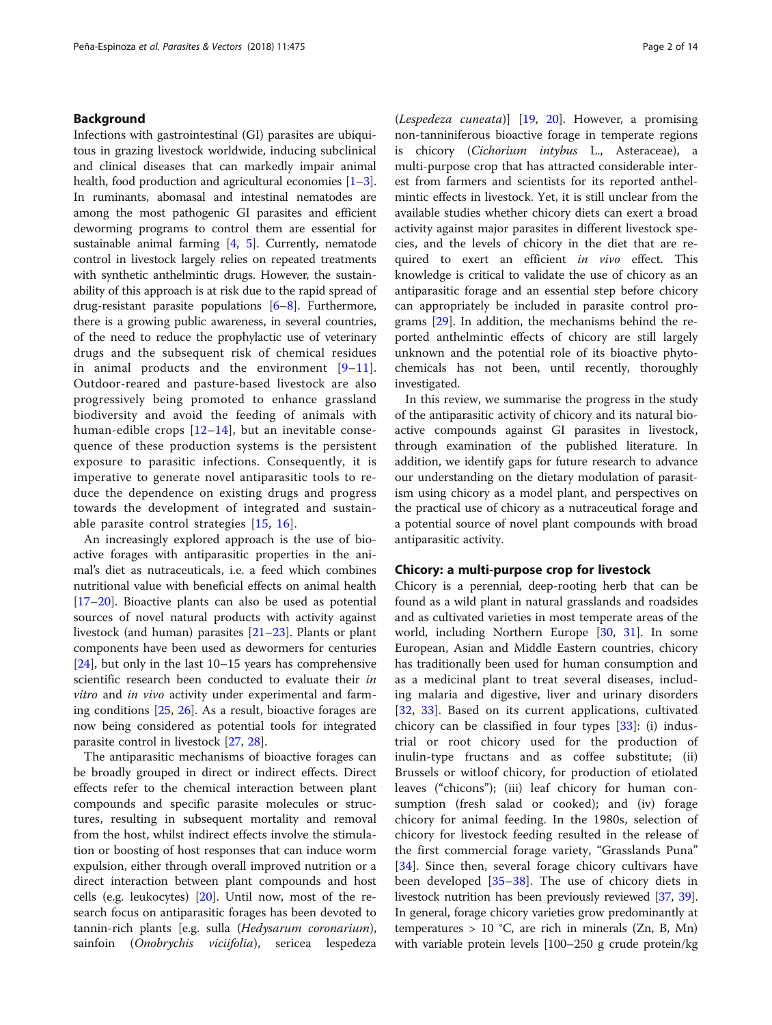# Background

Infections with gastrointestinal (GI) parasites are ubiquitous in grazing livestock worldwide, inducing subclinical and clinical diseases that can markedly impair animal health, food production and agricultural economies [[1](#page-10-0)–[3](#page-10-0)]. In ruminants, abomasal and intestinal nematodes are among the most pathogenic GI parasites and efficient deworming programs to control them are essential for sustainable animal farming  $[4, 5]$  $[4, 5]$  $[4, 5]$  $[4, 5]$ . Currently, nematode control in livestock largely relies on repeated treatments with synthetic anthelmintic drugs. However, the sustainability of this approach is at risk due to the rapid spread of drug-resistant parasite populations [[6](#page-10-0)–[8](#page-10-0)]. Furthermore, there is a growing public awareness, in several countries, of the need to reduce the prophylactic use of veterinary drugs and the subsequent risk of chemical residues in animal products and the environment  $[9-11]$  $[9-11]$  $[9-11]$  $[9-11]$  $[9-11]$ . Outdoor-reared and pasture-based livestock are also progressively being promoted to enhance grassland biodiversity and avoid the feeding of animals with human-edible crops [[12](#page-11-0)–[14](#page-11-0)], but an inevitable consequence of these production systems is the persistent exposure to parasitic infections. Consequently, it is imperative to generate novel antiparasitic tools to reduce the dependence on existing drugs and progress towards the development of integrated and sustainable parasite control strategies [[15](#page-11-0), [16\]](#page-11-0).

An increasingly explored approach is the use of bioactive forages with antiparasitic properties in the animal's diet as nutraceuticals, i.e. a feed which combines nutritional value with beneficial effects on animal health [[17](#page-11-0)–[20](#page-11-0)]. Bioactive plants can also be used as potential sources of novel natural products with activity against livestock (and human) parasites [[21](#page-11-0)–[23](#page-11-0)]. Plants or plant components have been used as dewormers for centuries [[24\]](#page-11-0), but only in the last 10–15 years has comprehensive scientific research been conducted to evaluate their in vitro and in vivo activity under experimental and farming conditions [[25,](#page-11-0) [26](#page-11-0)]. As a result, bioactive forages are now being considered as potential tools for integrated parasite control in livestock [\[27](#page-11-0), [28](#page-11-0)].

The antiparasitic mechanisms of bioactive forages can be broadly grouped in direct or indirect effects. Direct effects refer to the chemical interaction between plant compounds and specific parasite molecules or structures, resulting in subsequent mortality and removal from the host, whilst indirect effects involve the stimulation or boosting of host responses that can induce worm expulsion, either through overall improved nutrition or a direct interaction between plant compounds and host cells (e.g. leukocytes) [[20\]](#page-11-0). Until now, most of the research focus on antiparasitic forages has been devoted to tannin-rich plants [e.g. sulla (Hedysarum coronarium), sainfoin (Onobrychis viciifolia), sericea lespedeza

(Lespedeza cuneata)] [\[19](#page-11-0), [20](#page-11-0)]. However, a promising non-tanniniferous bioactive forage in temperate regions is chicory (Cichorium intybus L., Asteraceae), a multi-purpose crop that has attracted considerable interest from farmers and scientists for its reported anthelmintic effects in livestock. Yet, it is still unclear from the available studies whether chicory diets can exert a broad activity against major parasites in different livestock species, and the levels of chicory in the diet that are required to exert an efficient in vivo effect. This knowledge is critical to validate the use of chicory as an antiparasitic forage and an essential step before chicory can appropriately be included in parasite control programs [\[29](#page-11-0)]. In addition, the mechanisms behind the reported anthelmintic effects of chicory are still largely unknown and the potential role of its bioactive phytochemicals has not been, until recently, thoroughly investigated.

In this review, we summarise the progress in the study of the antiparasitic activity of chicory and its natural bioactive compounds against GI parasites in livestock, through examination of the published literature. In addition, we identify gaps for future research to advance our understanding on the dietary modulation of parasitism using chicory as a model plant, and perspectives on the practical use of chicory as a nutraceutical forage and a potential source of novel plant compounds with broad antiparasitic activity.

#### Chicory: a multi-purpose crop for livestock

Chicory is a perennial, deep-rooting herb that can be found as a wild plant in natural grasslands and roadsides and as cultivated varieties in most temperate areas of the world, including Northern Europe [\[30](#page-11-0), [31](#page-11-0)]. In some European, Asian and Middle Eastern countries, chicory has traditionally been used for human consumption and as a medicinal plant to treat several diseases, including malaria and digestive, liver and urinary disorders [[32,](#page-11-0) [33](#page-11-0)]. Based on its current applications, cultivated chicory can be classified in four types [[33\]](#page-11-0): (i) industrial or root chicory used for the production of inulin-type fructans and as coffee substitute; (ii) Brussels or witloof chicory, for production of etiolated leaves ("chicons"); (iii) leaf chicory for human consumption (fresh salad or cooked); and (iv) forage chicory for animal feeding. In the 1980s, selection of chicory for livestock feeding resulted in the release of the first commercial forage variety, "Grasslands Puna" [[34\]](#page-11-0). Since then, several forage chicory cultivars have been developed [[35](#page-11-0)–[38\]](#page-11-0). The use of chicory diets in livestock nutrition has been previously reviewed [\[37,](#page-11-0) [39](#page-11-0)]. In general, forage chicory varieties grow predominantly at temperatures > 10 °C, are rich in minerals  $(Zn, B, Mn)$ with variable protein levels [100–250 g crude protein/kg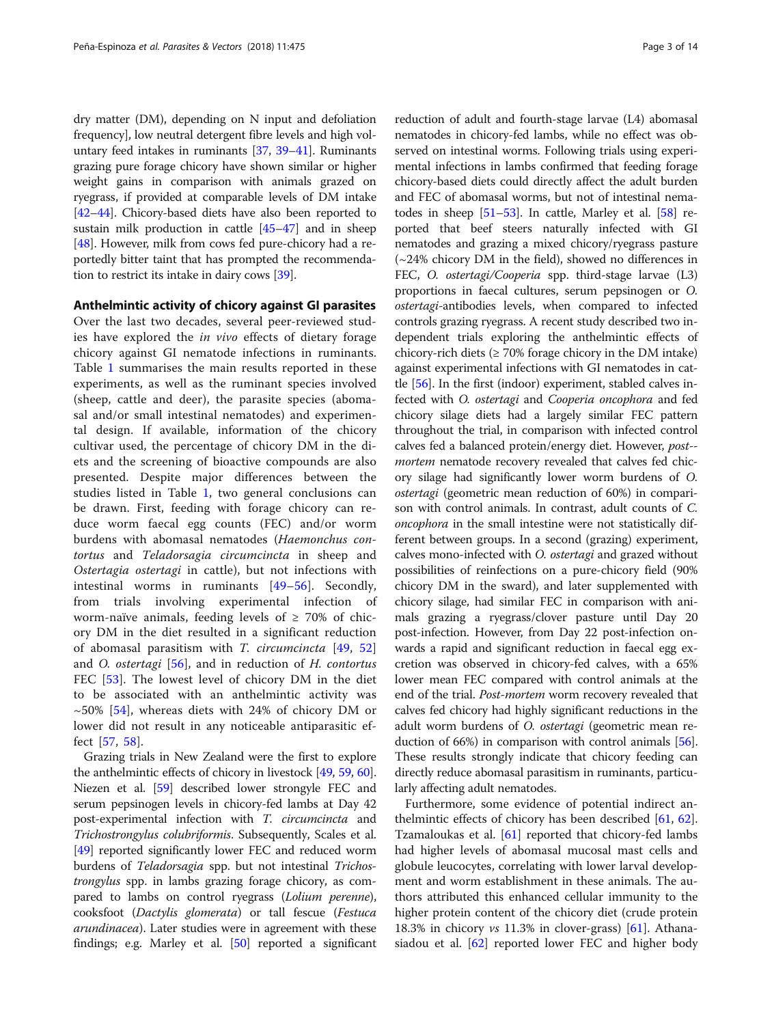dry matter (DM), depending on N input and defoliation frequency], low neutral detergent fibre levels and high voluntary feed intakes in ruminants [[37](#page-11-0), [39](#page-11-0)–[41](#page-11-0)]. Ruminants grazing pure forage chicory have shown similar or higher weight gains in comparison with animals grazed on ryegrass, if provided at comparable levels of DM intake [[42](#page-11-0)–[44\]](#page-11-0). Chicory-based diets have also been reported to sustain milk production in cattle [[45](#page-11-0)–[47\]](#page-11-0) and in sheep [[48](#page-11-0)]. However, milk from cows fed pure-chicory had a reportedly bitter taint that has prompted the recommendation to restrict its intake in dairy cows [\[39\]](#page-11-0).

#### Anthelmintic activity of chicory against GI parasites

Over the last two decades, several peer-reviewed studies have explored the in vivo effects of dietary forage chicory against GI nematode infections in ruminants. Table [1](#page-3-0) summarises the main results reported in these experiments, as well as the ruminant species involved (sheep, cattle and deer), the parasite species (abomasal and/or small intestinal nematodes) and experimental design. If available, information of the chicory cultivar used, the percentage of chicory DM in the diets and the screening of bioactive compounds are also presented. Despite major differences between the studies listed in Table [1](#page-3-0), two general conclusions can be drawn. First, feeding with forage chicory can reduce worm faecal egg counts (FEC) and/or worm burdens with abomasal nematodes (Haemonchus contortus and Teladorsagia circumcincta in sheep and Ostertagia ostertagi in cattle), but not infections with intestinal worms in ruminants [\[49](#page-11-0)–[56](#page-11-0)]. Secondly, from trials involving experimental infection of worm-naïve animals, feeding levels of  $\geq 70\%$  of chicory DM in the diet resulted in a significant reduction of abomasal parasitism with T. circumcincta [[49](#page-11-0), [52](#page-11-0)] and O. ostertagi [[56\]](#page-11-0), and in reduction of H. contortus FEC [[53\]](#page-11-0). The lowest level of chicory DM in the diet to be associated with an anthelmintic activity was  $\sim$  50% [[54\]](#page-11-0), whereas diets with 24% of chicory DM or lower did not result in any noticeable antiparasitic effect [\[57](#page-11-0), [58](#page-11-0)].

Grazing trials in New Zealand were the first to explore the anthelmintic effects of chicory in livestock [[49](#page-11-0), [59,](#page-11-0) [60](#page-12-0)]. Niezen et al. [\[59\]](#page-11-0) described lower strongyle FEC and serum pepsinogen levels in chicory-fed lambs at Day 42 post-experimental infection with T. circumcincta and Trichostrongylus colubriformis. Subsequently, Scales et al. [[49](#page-11-0)] reported significantly lower FEC and reduced worm burdens of Teladorsagia spp. but not intestinal Trichostrongylus spp. in lambs grazing forage chicory, as compared to lambs on control ryegrass (Lolium perenne), cooksfoot (Dactylis glomerata) or tall fescue (Festuca arundinacea). Later studies were in agreement with these findings; e.g. Marley et al. [[50](#page-11-0)] reported a significant

reduction of adult and fourth-stage larvae (L4) abomasal nematodes in chicory-fed lambs, while no effect was observed on intestinal worms. Following trials using experimental infections in lambs confirmed that feeding forage chicory-based diets could directly affect the adult burden and FEC of abomasal worms, but not of intestinal nematodes in sheep [\[51](#page-11-0)–[53](#page-11-0)]. In cattle, Marley et al. [[58](#page-11-0)] reported that beef steers naturally infected with GI nematodes and grazing a mixed chicory/ryegrass pasture (~24% chicory DM in the field), showed no differences in FEC, O. ostertagi/Cooperia spp. third-stage larvae (L3) proportions in faecal cultures, serum pepsinogen or O. ostertagi-antibodies levels, when compared to infected controls grazing ryegrass. A recent study described two independent trials exploring the anthelmintic effects of chicory-rich diets ( $\geq 70\%$  forage chicory in the DM intake) against experimental infections with GI nematodes in cattle [[56](#page-11-0)]. In the first (indoor) experiment, stabled calves infected with O. ostertagi and Cooperia oncophora and fed chicory silage diets had a largely similar FEC pattern throughout the trial, in comparison with infected control calves fed a balanced protein/energy diet. However, post- mortem nematode recovery revealed that calves fed chicory silage had significantly lower worm burdens of O. ostertagi (geometric mean reduction of 60%) in comparison with control animals. In contrast, adult counts of C. oncophora in the small intestine were not statistically different between groups. In a second (grazing) experiment, calves mono-infected with O. ostertagi and grazed without possibilities of reinfections on a pure-chicory field (90% chicory DM in the sward), and later supplemented with chicory silage, had similar FEC in comparison with animals grazing a ryegrass/clover pasture until Day 20 post-infection. However, from Day 22 post-infection onwards a rapid and significant reduction in faecal egg excretion was observed in chicory-fed calves, with a 65% lower mean FEC compared with control animals at the end of the trial. Post-mortem worm recovery revealed that calves fed chicory had highly significant reductions in the adult worm burdens of O. ostertagi (geometric mean reduction of 66%) in comparison with control animals [[56](#page-11-0)]. These results strongly indicate that chicory feeding can directly reduce abomasal parasitism in ruminants, particularly affecting adult nematodes.

Furthermore, some evidence of potential indirect anthelmintic effects of chicory has been described [\[61,](#page-12-0) [62](#page-12-0)]. Tzamaloukas et al. [[61](#page-12-0)] reported that chicory-fed lambs had higher levels of abomasal mucosal mast cells and globule leucocytes, correlating with lower larval development and worm establishment in these animals. The authors attributed this enhanced cellular immunity to the higher protein content of the chicory diet (crude protein 18.3% in chicory  $vs$  11.3% in clover-grass) [[61](#page-12-0)]. Athanasiadou et al. [[62\]](#page-12-0) reported lower FEC and higher body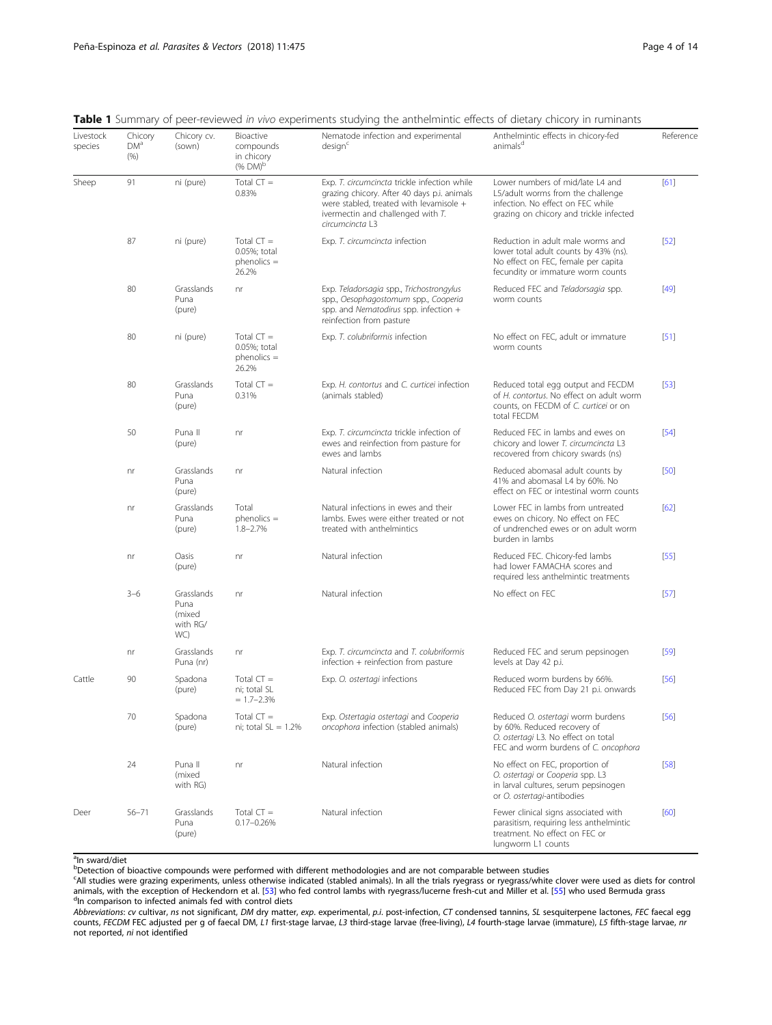| Livestock<br>species | Chicory<br>DM <sup>a</sup><br>(% ) | Chicory cv.<br>(sown)                           | Bioactive<br>compounds<br>in chicory<br>(% DM) <sup>b</sup> | Nematode infection and experimental<br>design <sup>c</sup>                                                                                                                                     | Anthelmintic effects in chicory-fed<br>animals <sup>d</sup>                                                                                            | Reference |
|----------------------|------------------------------------|-------------------------------------------------|-------------------------------------------------------------|------------------------------------------------------------------------------------------------------------------------------------------------------------------------------------------------|--------------------------------------------------------------------------------------------------------------------------------------------------------|-----------|
| Sheep                | 91                                 | ni (pure)                                       | Total $CT =$<br>0.83%                                       | Exp. T. circumcincta trickle infection while<br>grazing chicory. After 40 days p.i. animals<br>were stabled, treated with levamisole +<br>ivermectin and challenged with T.<br>circumcincta L3 | Lower numbers of mid/late L4 and<br>L5/adult worms from the challenge<br>infection. No effect on FEC while<br>grazing on chicory and trickle infected  | [61]      |
|                      | 87                                 | ni (pure)                                       | Total $CT =$<br>0.05%; total<br>$phenolics =$<br>26.2%      | Exp. T. circumcincta infection                                                                                                                                                                 | Reduction in adult male worms and<br>lower total adult counts by 43% (ns).<br>No effect on FEC, female per capita<br>fecundity or immature worm counts | $[52]$    |
|                      | 80                                 | Grasslands<br>Puna<br>(pure)                    | nr                                                          | Exp. Teladorsagia spp., Trichostrongylus<br>spp., Oesophagostomum spp., Cooperia<br>spp. and Nematodirus spp. infection +<br>reinfection from pasture                                          | Reduced FEC and Teladorsagia spp.<br>worm counts                                                                                                       | $[49]$    |
|                      | 80                                 | ni (pure)                                       | Total $CT =$<br>0.05%; total<br>$phenolics =$<br>26.2%      | Exp. T. colubriformis infection                                                                                                                                                                | No effect on FEC, adult or immature<br>worm counts                                                                                                     | $[51]$    |
|                      | 80                                 | Grasslands<br>Puna<br>(pure)                    | Total $CT =$<br>0.31%                                       | Exp. H. contortus and C. curticei infection<br>(animals stabled)                                                                                                                               | Reduced total egg output and FECDM<br>of H. contortus. No effect on adult worm<br>counts, on FECDM of C. curticei or on<br>total FECDM                 | [53]      |
|                      | 50                                 | Puna II<br>(pure)                               | nr                                                          | Exp. T. circumcincta trickle infection of<br>ewes and reinfection from pasture for<br>ewes and lambs                                                                                           | Reduced FEC in lambs and ewes on<br>chicory and lower T. circumcincta L3<br>recovered from chicory swards (ns)                                         | [54]      |
|                      | nr                                 | Grasslands<br>Puna<br>(pure)                    | nr                                                          | Natural infection                                                                                                                                                                              | Reduced abomasal adult counts by<br>41% and abomasal L4 by 60%. No<br>effect on FEC or intestinal worm counts                                          | [50]      |
|                      | nr                                 | Grasslands<br>Puna<br>(pure)                    | Total<br>$phenolics =$<br>$1.8 - 2.7%$                      | Natural infections in ewes and their<br>lambs. Ewes were either treated or not<br>treated with anthelmintics                                                                                   | Lower FEC in lambs from untreated<br>ewes on chicory. No effect on FEC<br>of undrenched ewes or on adult worm<br>burden in lambs                       | [62]      |
|                      | nr                                 | Oasis<br>(pure)                                 | nr                                                          | Natural infection                                                                                                                                                                              | Reduced FEC. Chicory-fed lambs<br>had lower FAMACHA scores and<br>required less anthelmintic treatments                                                | $[55]$    |
|                      | $3 - 6$                            | Grasslands<br>Puna<br>(mixed<br>with RG/<br>WC) | nr                                                          | Natural infection                                                                                                                                                                              | No effect on FEC                                                                                                                                       | $[57]$    |
|                      | nr                                 | Grasslands<br>Puna (nr)                         | nr                                                          | Exp. T. circumcincta and T. colubriformis<br>infection + reinfection from pasture                                                                                                              | Reduced FEC and serum pepsinogen<br>levels at Day 42 p.i.                                                                                              | $[59]$    |
| Cattle               | 90                                 | Spadona<br>(pure)                               | Total $CT =$<br>ni; total SL<br>$= 1.7 - 2.3%$              | Exp. O. ostertagi infections                                                                                                                                                                   | Reduced worm burdens by 66%.<br>Reduced FEC from Day 21 p.i. onwards                                                                                   | [56]      |
|                      | 70                                 | Spadona<br>(pure)                               | Total $CT =$<br>ni; total $SL = 1.2\%$                      | Exp. Ostertagia ostertagi and Cooperia<br>oncophora infection (stabled animals)                                                                                                                | Reduced O. ostertagi worm burdens<br>by 60%. Reduced recovery of<br>O. ostertagi L3. No effect on total<br>FEC and worm burdens of C. oncophora        | $[56]$    |
|                      | 24                                 | Puna II<br>(mixed<br>with RG)                   | nr                                                          | Natural infection                                                                                                                                                                              | No effect on FEC, proportion of<br>O. ostertagi or Cooperia spp. L3<br>in larval cultures, serum pepsinogen<br>or O. ostertagi-antibodies              | $[58]$    |
| Deer                 | $56 - 71$                          | Grasslands<br>Puna<br>(pure)                    | Total $CT =$<br>$0.17 - 0.26%$                              | Natural infection                                                                                                                                                                              | Fewer clinical signs associated with<br>parasitism, requiring less anthelmintic<br>treatment. No effect on FEC or<br>lungworm L1 counts                | [60]      |

<span id="page-3-0"></span>

|  |  |  | <b>Table 1</b> Summary of peer-reviewed in vivo experiments studving the anthelmintic effects of dietary chicory in ruminants |
|--|--|--|-------------------------------------------------------------------------------------------------------------------------------|
|  |  |  |                                                                                                                               |

<sup>a</sup>ln sward/diet

**bDetection of bioactive compounds were performed with different methodologies and are not comparable between studies** 

c All studies were grazing experiments, unless otherwise indicated (stabled animals). In all the trials ryegrass or ryegrass/white clover were used as diets for control animals, with the exception of Heckendorn et al. [\[53](#page-11-0)] who fed control lambs with ryegrass/lucerne fresh-cut and Miller et al. [\[55\]](#page-11-0) who used Bermuda grass <sup>d</sup> <sup>d</sup>In comparison to infected animals fed with control diets

Abbreviations: cv cultivar, ns not significant, DM dry matter, exp. experimental, p.i. post-infection, CT condensed tannins, SL sesquiterpene lactones, FEC faecal egg counts, FECDM FEC adjusted per g of faecal DM, L1 first-stage larvae, L3 third-stage larvae (free-living), L4 fourth-stage larvae (immature), L5 fifth-stage larvae, nr not reported, ni not identified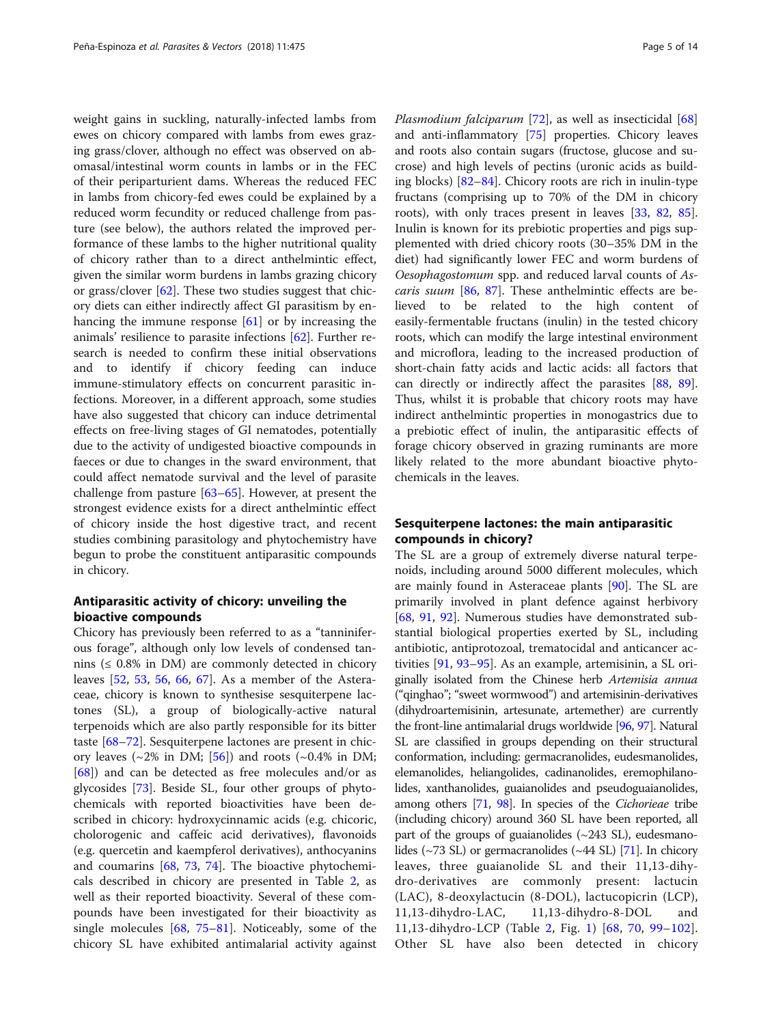weight gains in suckling, naturally-infected lambs from ewes on chicory compared with lambs from ewes grazing grass/clover, although no effect was observed on abomasal/intestinal worm counts in lambs or in the FEC of their periparturient dams. Whereas the reduced FEC in lambs from chicory-fed ewes could be explained by a reduced worm fecundity or reduced challenge from pasture (see below), the authors related the improved performance of these lambs to the higher nutritional quality of chicory rather than to a direct anthelmintic effect, given the similar worm burdens in lambs grazing chicory or grass/clover [\[62](#page-12-0)]. These two studies suggest that chicory diets can either indirectly affect GI parasitism by enhancing the immune response [[61\]](#page-12-0) or by increasing the animals' resilience to parasite infections [[62\]](#page-12-0). Further research is needed to confirm these initial observations and to identify if chicory feeding can induce immune-stimulatory effects on concurrent parasitic infections. Moreover, in a different approach, some studies have also suggested that chicory can induce detrimental effects on free-living stages of GI nematodes, potentially due to the activity of undigested bioactive compounds in faeces or due to changes in the sward environment, that could affect nematode survival and the level of parasite challenge from pasture [[63](#page-12-0)–[65](#page-12-0)]. However, at present the strongest evidence exists for a direct anthelmintic effect of chicory inside the host digestive tract, and recent studies combining parasitology and phytochemistry have begun to probe the constituent antiparasitic compounds in chicory.

# Antiparasitic activity of chicory: unveiling the bioactive compounds

Chicory has previously been referred to as a "tanniniferous forage", although only low levels of condensed tannins  $(≤ 0.8% in DM)$  are commonly detected in chicory leaves [[52,](#page-11-0) [53](#page-11-0), [56](#page-11-0), [66](#page-12-0), [67](#page-12-0)]. As a member of the Asteraceae, chicory is known to synthesise sesquiterpene lactones (SL), a group of biologically-active natural terpenoids which are also partly responsible for its bitter taste [[68](#page-12-0)–[72](#page-12-0)]. Sesquiterpene lactones are present in chicory leaves  $(\sim 2\%$  in DM; [\[56](#page-11-0)]) and roots  $(\sim 0.4\%$  in DM; [[68\]](#page-12-0)) and can be detected as free molecules and/or as glycosides [\[73\]](#page-12-0). Beside SL, four other groups of phytochemicals with reported bioactivities have been described in chicory: hydroxycinnamic acids (e.g. chicoric, cholorogenic and caffeic acid derivatives), flavonoids (e.g. quercetin and kaempferol derivatives), anthocyanins and coumarins [\[68](#page-12-0), [73](#page-12-0), [74](#page-12-0)]. The bioactive phytochemicals described in chicory are presented in Table [2](#page-5-0), as well as their reported bioactivity. Several of these compounds have been investigated for their bioactivity as single molecules [\[68](#page-12-0), [75](#page-12-0)–[81\]](#page-12-0). Noticeably, some of the chicory SL have exhibited antimalarial activity against Plasmodium falciparum [[72\]](#page-12-0), as well as insecticidal [[68](#page-12-0)] and anti-inflammatory [[75](#page-12-0)] properties. Chicory leaves and roots also contain sugars (fructose, glucose and sucrose) and high levels of pectins (uronic acids as building blocks) [[82](#page-12-0)–[84](#page-12-0)]. Chicory roots are rich in inulin-type fructans (comprising up to 70% of the DM in chicory roots), with only traces present in leaves [[33,](#page-11-0) [82](#page-12-0), [85](#page-12-0)]. Inulin is known for its prebiotic properties and pigs supplemented with dried chicory roots (30–35% DM in the diet) had significantly lower FEC and worm burdens of Oesophagostomum spp. and reduced larval counts of Ascaris suum [\[86,](#page-12-0) [87](#page-12-0)]. These anthelmintic effects are believed to be related to the high content of easily-fermentable fructans (inulin) in the tested chicory roots, which can modify the large intestinal environment and microflora, leading to the increased production of short-chain fatty acids and lactic acids: all factors that can directly or indirectly affect the parasites [\[88](#page-12-0), [89](#page-12-0)]. Thus, whilst it is probable that chicory roots may have indirect anthelmintic properties in monogastrics due to a prebiotic effect of inulin, the antiparasitic effects of forage chicory observed in grazing ruminants are more likely related to the more abundant bioactive phytochemicals in the leaves.

# Sesquiterpene lactones: the main antiparasitic compounds in chicory?

The SL are a group of extremely diverse natural terpenoids, including around 5000 different molecules, which are mainly found in Asteraceae plants [\[90](#page-12-0)]. The SL are primarily involved in plant defence against herbivory [[68,](#page-12-0) [91,](#page-12-0) [92\]](#page-12-0). Numerous studies have demonstrated substantial biological properties exerted by SL, including antibiotic, antiprotozoal, trematocidal and anticancer activities [\[91](#page-12-0), [93](#page-12-0)–[95\]](#page-12-0). As an example, artemisinin, a SL originally isolated from the Chinese herb Artemisia annua ("qinghao"; "sweet wormwood") and artemisinin-derivatives (dihydroartemisinin, artesunate, artemether) are currently the front-line antimalarial drugs worldwide [\[96](#page-12-0), [97](#page-12-0)]. Natural SL are classified in groups depending on their structural conformation, including: germacranolides, eudesmanolides, elemanolides, heliangolides, cadinanolides, eremophilanolides, xanthanolides, guaianolides and pseudoguaianolides, among others [[71](#page-12-0), [98\]](#page-12-0). In species of the Cichorieae tribe (including chicory) around 360 SL have been reported, all part of the groups of guaianolides  $(\sim 243 \text{ SL})$ , eudesmanolides ( $\sim$ 73 SL) or germacranolides ( $\sim$ 44 SL) [\[71\]](#page-12-0). In chicory leaves, three guaianolide SL and their 11,13-dihydro-derivatives are commonly present: lactucin (LAC), 8-deoxylactucin (8-DOL), lactucopicrin (LCP), 11,13-dihydro-LAC, 11,13-dihydro-8-DOL and 11,13-dihydro-LCP (Table [2](#page-5-0), Fig. [1](#page-6-0)) [[68](#page-12-0), [70,](#page-12-0) [99](#page-12-0)–[102](#page-12-0)]. Other SL have also been detected in chicory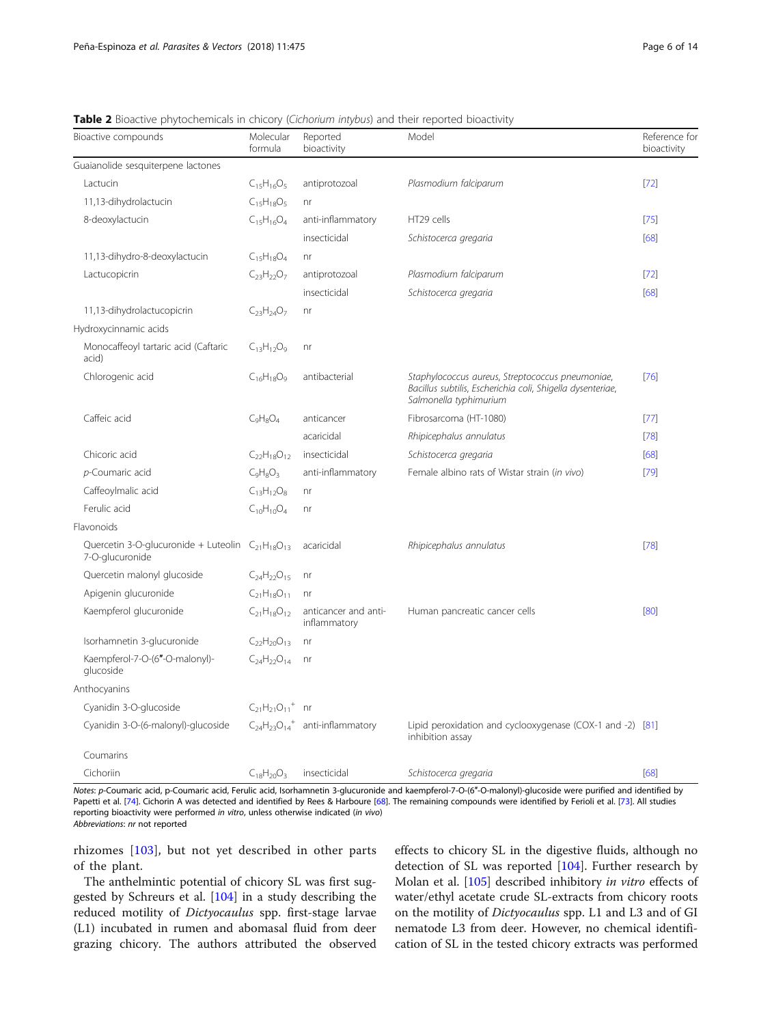| Bioactive compounds                                                          | Molecular<br>formula                 | Reported<br>bioactivity                             | Model                                                                                                                                    | Reference for<br>bioactivity |
|------------------------------------------------------------------------------|--------------------------------------|-----------------------------------------------------|------------------------------------------------------------------------------------------------------------------------------------------|------------------------------|
| Guaianolide sesquiterpene lactones                                           |                                      |                                                     |                                                                                                                                          |                              |
| Lactucin                                                                     | $C_{15}H_{16}O_5$                    | antiprotozoal                                       | Plasmodium falciparum                                                                                                                    | $[72]$                       |
| 11,13-dihydrolactucin                                                        | $C_{15}H_{18}O_5$                    | nr                                                  |                                                                                                                                          |                              |
| 8-deoxylactucin                                                              | $C_{15}H_{16}O_4$                    | anti-inflammatory                                   | HT29 cells                                                                                                                               | $[75]$                       |
|                                                                              |                                      | insecticidal                                        | Schistocerca gregaria                                                                                                                    | [68]                         |
| 11,13-dihydro-8-deoxylactucin                                                | $C_{15}H_{18}O_4$                    | nr                                                  |                                                                                                                                          |                              |
| Lactucopicrin                                                                | $C_{23}H_{22}O_7$                    | antiprotozoal                                       | Plasmodium falciparum                                                                                                                    | $[72]$                       |
|                                                                              |                                      | insecticidal                                        | Schistocerca gregaria                                                                                                                    | [68]                         |
| 11,13-dihydrolactucopicrin                                                   | $C_{23}H_{24}O_7$                    | nr                                                  |                                                                                                                                          |                              |
| Hydroxycinnamic acids                                                        |                                      |                                                     |                                                                                                                                          |                              |
| Monocaffeoyl tartaric acid (Caftaric<br>acid)                                | $C_{13}H_{12}O_9$                    | nr                                                  |                                                                                                                                          |                              |
| Chlorogenic acid                                                             | $C_{16}H_{18}O_9$                    | antibacterial                                       | Staphylococcus aureus, Streptococcus pneumoniae,<br>Bacillus subtilis, Escherichia coli, Shigella dysenteriae,<br>Salmonella typhimurium | [76]                         |
| Caffeic acid                                                                 | $C_9H_8O_4$                          | anticancer                                          | Fibrosarcoma (HT-1080)                                                                                                                   | [77]                         |
|                                                                              |                                      | acaricidal                                          | Rhipicephalus annulatus                                                                                                                  | $[78]$                       |
| Chicoric acid                                                                | $C_{22}H_{18}O_{12}$                 | insecticidal                                        | Schistocerca gregaria                                                                                                                    | [68]                         |
| p-Coumaric acid                                                              | $C_9H_8O_3$                          | anti-inflammatory                                   | Female albino rats of Wistar strain (in vivo)                                                                                            | $[79]$                       |
| Caffeoylmalic acid                                                           | $C_{13}H_{12}O_8$                    | nr                                                  |                                                                                                                                          |                              |
| Ferulic acid                                                                 | $C_{10}H_{10}O_4$                    | nr                                                  |                                                                                                                                          |                              |
| Flavonoids                                                                   |                                      |                                                     |                                                                                                                                          |                              |
| Quercetin 3-O-glucuronide + Luteolin $C_{21}H_{18}O_{13}$<br>7-O-glucuronide |                                      | acaricidal                                          | Rhipicephalus annulatus                                                                                                                  | $[78]$                       |
| Quercetin malonyl glucoside                                                  | $C_{24}H_{22}O_{15}$ nr              |                                                     |                                                                                                                                          |                              |
| Apigenin glucuronide                                                         | $C_{21}H_{18}O_{11}$                 | n <sub>r</sub>                                      |                                                                                                                                          |                              |
| Kaempferol glucuronide                                                       | $C_{21}H_{18}O_{12}$                 | anticancer and anti-<br>inflammatory                | Human pancreatic cancer cells                                                                                                            | [80]                         |
| Isorhamnetin 3-glucuronide                                                   | $C_{22}H_{20}O_{13}$                 | nr                                                  |                                                                                                                                          |                              |
| Kaempferol-7-O-(6"-O-malonyl)-<br>glucoside                                  | $C_{24}H_{22}O_{14}$                 | nr                                                  |                                                                                                                                          |                              |
| Anthocyanins                                                                 |                                      |                                                     |                                                                                                                                          |                              |
| Cyanidin 3-O-glucoside                                                       | $C_{21}H_{21}O_{11}$ <sup>+</sup> nr |                                                     |                                                                                                                                          |                              |
| Cyanidin 3-O-(6-malonyl)-glucoside                                           |                                      | $C_{24}H_{23}O_{14}$ <sup>+</sup> anti-inflammatory | Lipid peroxidation and cyclooxygenase (COX-1 and -2) [81]<br>inhibition assay                                                            |                              |
| Coumarins                                                                    |                                      |                                                     |                                                                                                                                          |                              |
| Cichoriin                                                                    | $C_{18}H_{20}O_3$                    | insecticidal                                        | Schistocerca gregaria                                                                                                                    | [68]                         |

<span id="page-5-0"></span>Table 2 Bioactive phytochemicals in chicory (Cichorium intybus) and their reported bioactivity

Notes: p-Coumaric acid, p-Coumaric acid, Ferulic acid, Isorhamnetin 3-glucuronide and kaempferol-7-O-(6″-O-malonyl)-glucoside were purified and identified by Papetti et al. [[74\]](#page-12-0). Cichorin A was detected and identified by Rees & Harboure [[68\]](#page-12-0). The remaining compounds were identified by Ferioli et al. [\[73](#page-12-0)]. All studies reporting bioactivity were performed in vitro, unless otherwise indicated (in vivo) Abbreviations: nr not reported

rhizomes [[103\]](#page-12-0), but not yet described in other parts of the plant.

The anthelmintic potential of chicory SL was first suggested by Schreurs et al. [\[104](#page-12-0)] in a study describing the reduced motility of Dictyocaulus spp. first-stage larvae (L1) incubated in rumen and abomasal fluid from deer grazing chicory. The authors attributed the observed

effects to chicory SL in the digestive fluids, although no detection of SL was reported [\[104\]](#page-12-0). Further research by Molan et al. [\[105\]](#page-12-0) described inhibitory in vitro effects of water/ethyl acetate crude SL-extracts from chicory roots on the motility of Dictyocaulus spp. L1 and L3 and of GI nematode L3 from deer. However, no chemical identification of SL in the tested chicory extracts was performed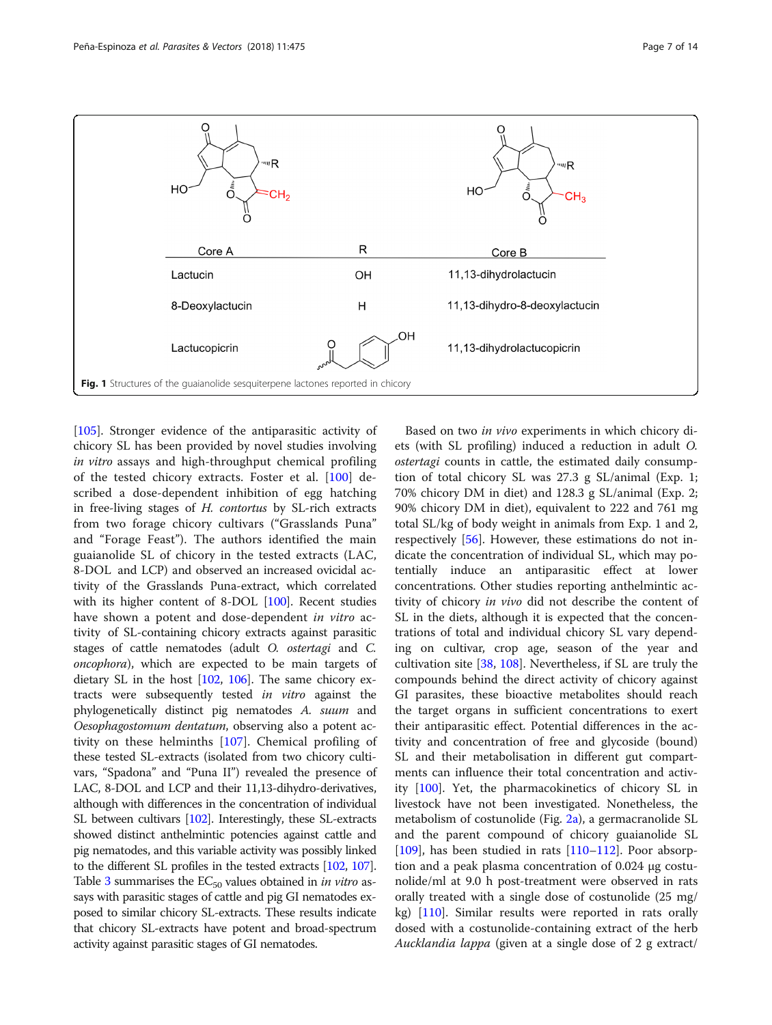<span id="page-6-0"></span>

[[105\]](#page-12-0). Stronger evidence of the antiparasitic activity of chicory SL has been provided by novel studies involving in vitro assays and high-throughput chemical profiling of the tested chicory extracts. Foster et al. [[100\]](#page-12-0) described a dose-dependent inhibition of egg hatching in free-living stages of H. contortus by SL-rich extracts from two forage chicory cultivars ("Grasslands Puna" and "Forage Feast"). The authors identified the main guaianolide SL of chicory in the tested extracts (LAC, 8-DOL and LCP) and observed an increased ovicidal activity of the Grasslands Puna-extract, which correlated with its higher content of 8-DOL [[100\]](#page-12-0). Recent studies have shown a potent and dose-dependent *in vitro* activity of SL-containing chicory extracts against parasitic stages of cattle nematodes (adult O. ostertagi and C. oncophora), which are expected to be main targets of dietary SL in the host  $[102, 106]$  $[102, 106]$  $[102, 106]$ . The same chicory extracts were subsequently tested in vitro against the phylogenetically distinct pig nematodes A. suum and Oesophagostomum dentatum, observing also a potent activity on these helminths [[107\]](#page-13-0). Chemical profiling of these tested SL-extracts (isolated from two chicory cultivars, "Spadona" and "Puna II") revealed the presence of LAC, 8-DOL and LCP and their 11,13-dihydro-derivatives, although with differences in the concentration of individual SL between cultivars [\[102](#page-12-0)]. Interestingly, these SL-extracts showed distinct anthelmintic potencies against cattle and pig nematodes, and this variable activity was possibly linked to the different SL profiles in the tested extracts [\[102](#page-12-0), [107](#page-13-0)]. Table [3](#page-7-0) summarises the  $EC_{50}$  values obtained in *in vitro* assays with parasitic stages of cattle and pig GI nematodes exposed to similar chicory SL-extracts. These results indicate that chicory SL-extracts have potent and broad-spectrum activity against parasitic stages of GI nematodes.

Based on two in vivo experiments in which chicory diets (with SL profiling) induced a reduction in adult O. ostertagi counts in cattle, the estimated daily consumption of total chicory SL was 27.3 g SL/animal (Exp. 1; 70% chicory DM in diet) and 128.3 g SL/animal (Exp. 2; 90% chicory DM in diet), equivalent to 222 and 761 mg total SL/kg of body weight in animals from Exp. 1 and 2, respectively [\[56](#page-11-0)]. However, these estimations do not indicate the concentration of individual SL, which may potentially induce an antiparasitic effect at lower concentrations. Other studies reporting anthelmintic activity of chicory in vivo did not describe the content of SL in the diets, although it is expected that the concentrations of total and individual chicory SL vary depending on cultivar, crop age, season of the year and cultivation site [[38,](#page-11-0) [108\]](#page-13-0). Nevertheless, if SL are truly the compounds behind the direct activity of chicory against GI parasites, these bioactive metabolites should reach the target organs in sufficient concentrations to exert their antiparasitic effect. Potential differences in the activity and concentration of free and glycoside (bound) SL and their metabolisation in different gut compartments can influence their total concentration and activity [\[100](#page-12-0)]. Yet, the pharmacokinetics of chicory SL in livestock have not been investigated. Nonetheless, the metabolism of costunolide (Fig. [2a](#page-7-0)), a germacranolide SL and the parent compound of chicory guaianolide SL [[109\]](#page-13-0), has been studied in rats  $[110-112]$  $[110-112]$  $[110-112]$  $[110-112]$  $[110-112]$ . Poor absorption and a peak plasma concentration of 0.024 μg costunolide/ml at 9.0 h post-treatment were observed in rats orally treated with a single dose of costunolide (25 mg/ kg) [[110\]](#page-13-0). Similar results were reported in rats orally dosed with a costunolide-containing extract of the herb Aucklandia lappa (given at a single dose of 2 g extract/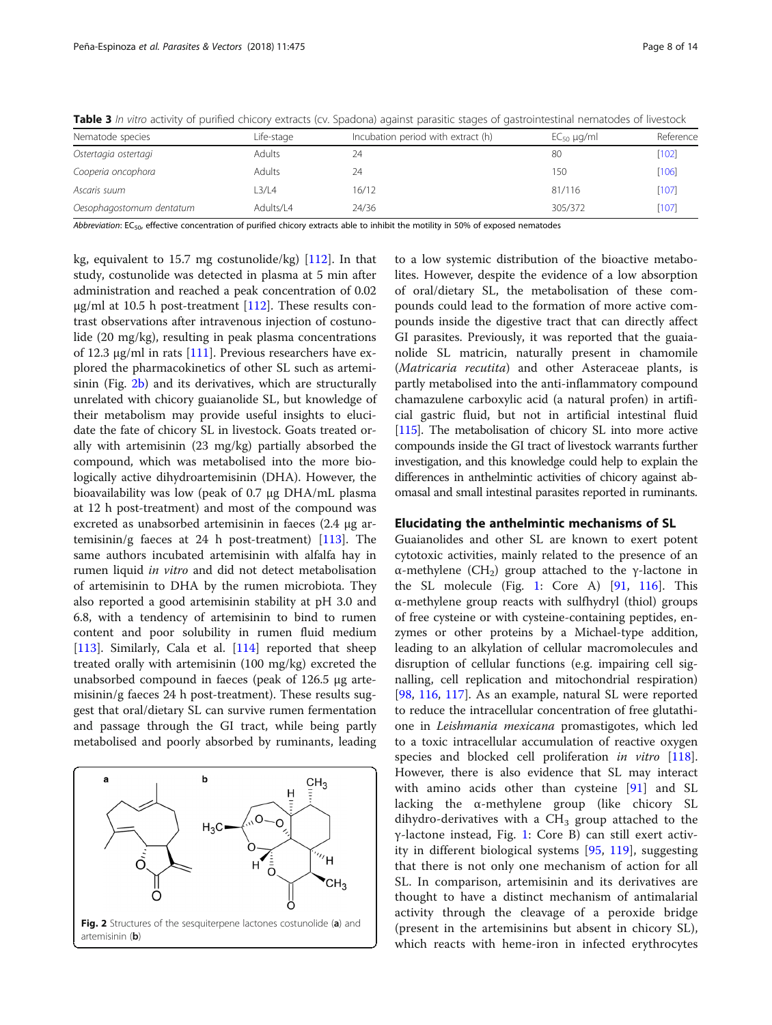| Nematode species         | Life-stage | Incubation period with extract (h) | $EC_{50}$ µg/ml | Reference |
|--------------------------|------------|------------------------------------|-----------------|-----------|
| Ostertagia ostertagi     | Adults     | 24                                 | 80              | $[102]$   |
| Cooperia oncophora       | Adults     | 24                                 | 150             | [106]     |
| Ascaris suum             | L3/L4      | 16/12                              | 81/116          | [107]     |
| Oesophagostomum dentatum | Adults/L4  | 24/36                              | 305/372         | [107]     |

<span id="page-7-0"></span>Table 3 In vitro activity of purified chicory extracts (cv. Spadona) against parasitic stages of gastrointestinal nematodes of livestock

Abbreviation:  $EC_{50}$ , effective concentration of purified chicory extracts able to inhibit the motility in 50% of exposed nematodes

kg, equivalent to 15.7 mg costunolide/kg) [\[112\]](#page-13-0). In that study, costunolide was detected in plasma at 5 min after administration and reached a peak concentration of 0.02  $\mu$ g/ml at 10.5 h post-treatment [[112\]](#page-13-0). These results contrast observations after intravenous injection of costunolide (20 mg/kg), resulting in peak plasma concentrations of 12.3 μg/ml in rats [[111](#page-13-0)]. Previous researchers have explored the pharmacokinetics of other SL such as artemisinin (Fig. 2b) and its derivatives, which are structurally unrelated with chicory guaianolide SL, but knowledge of their metabolism may provide useful insights to elucidate the fate of chicory SL in livestock. Goats treated orally with artemisinin (23 mg/kg) partially absorbed the compound, which was metabolised into the more biologically active dihydroartemisinin (DHA). However, the bioavailability was low (peak of 0.7 μg DHA/mL plasma at 12 h post-treatment) and most of the compound was excreted as unabsorbed artemisinin in faeces (2.4 μg ar-temisinin/g faeces at 24 h post-treatment) [\[113\]](#page-13-0). The same authors incubated artemisinin with alfalfa hay in rumen liquid in vitro and did not detect metabolisation of artemisinin to DHA by the rumen microbiota. They also reported a good artemisinin stability at pH 3.0 and 6.8, with a tendency of artemisinin to bind to rumen content and poor solubility in rumen fluid medium [[113\]](#page-13-0). Similarly, Cala et al. [\[114](#page-13-0)] reported that sheep treated orally with artemisinin (100 mg/kg) excreted the unabsorbed compound in faeces (peak of 126.5 μg artemisinin/g faeces 24 h post-treatment). These results suggest that oral/dietary SL can survive rumen fermentation and passage through the GI tract, while being partly metabolised and poorly absorbed by ruminants, leading



to a low systemic distribution of the bioactive metabolites. However, despite the evidence of a low absorption of oral/dietary SL, the metabolisation of these compounds could lead to the formation of more active compounds inside the digestive tract that can directly affect GI parasites. Previously, it was reported that the guaianolide SL matricin, naturally present in chamomile (Matricaria recutita) and other Asteraceae plants, is partly metabolised into the anti-inflammatory compound chamazulene carboxylic acid (a natural profen) in artificial gastric fluid, but not in artificial intestinal fluid [[115\]](#page-13-0). The metabolisation of chicory SL into more active compounds inside the GI tract of livestock warrants further investigation, and this knowledge could help to explain the differences in anthelmintic activities of chicory against abomasal and small intestinal parasites reported in ruminants.

### Elucidating the anthelmintic mechanisms of SL

Guaianolides and other SL are known to exert potent cytotoxic activities, mainly related to the presence of an α-methylene (CH<sub>2</sub>) group attached to the γ-lactone in the SL molecule (Fig. [1:](#page-6-0) Core A) [[91,](#page-12-0) [116\]](#page-13-0). This α-methylene group reacts with sulfhydryl (thiol) groups of free cysteine or with cysteine-containing peptides, enzymes or other proteins by a Michael-type addition, leading to an alkylation of cellular macromolecules and disruption of cellular functions (e.g. impairing cell signalling, cell replication and mitochondrial respiration) [[98,](#page-12-0) [116](#page-13-0), [117](#page-13-0)]. As an example, natural SL were reported to reduce the intracellular concentration of free glutathione in Leishmania mexicana promastigotes, which led to a toxic intracellular accumulation of reactive oxygen species and blocked cell proliferation in vitro [[118](#page-13-0)]. However, there is also evidence that SL may interact with amino acids other than cysteine [\[91](#page-12-0)] and SL lacking the α-methylene group (like chicory SL dihydro-derivatives with a  $CH<sub>3</sub>$  group attached to the γ-lactone instead, Fig. [1:](#page-6-0) Core B) can still exert activity in different biological systems [\[95](#page-12-0), [119\]](#page-13-0), suggesting that there is not only one mechanism of action for all SL. In comparison, artemisinin and its derivatives are thought to have a distinct mechanism of antimalarial activity through the cleavage of a peroxide bridge (present in the artemisinins but absent in chicory SL), which reacts with heme-iron in infected erythrocytes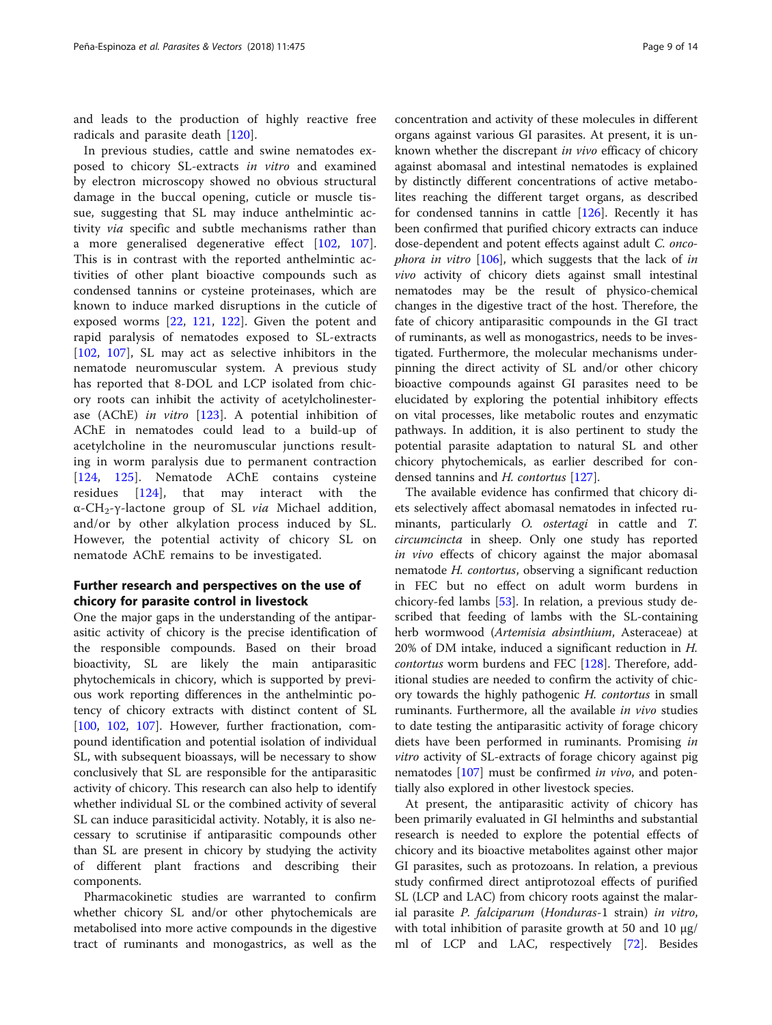and leads to the production of highly reactive free radicals and parasite death [[120\]](#page-13-0).

In previous studies, cattle and swine nematodes exposed to chicory SL-extracts in vitro and examined by electron microscopy showed no obvious structural damage in the buccal opening, cuticle or muscle tissue, suggesting that SL may induce anthelmintic activity via specific and subtle mechanisms rather than a more generalised degenerative effect [\[102](#page-12-0), [107](#page-13-0)]. This is in contrast with the reported anthelmintic activities of other plant bioactive compounds such as condensed tannins or cysteine proteinases, which are known to induce marked disruptions in the cuticle of exposed worms [\[22](#page-11-0), [121](#page-13-0), [122\]](#page-13-0). Given the potent and rapid paralysis of nematodes exposed to SL-extracts [[102,](#page-12-0) [107\]](#page-13-0), SL may act as selective inhibitors in the nematode neuromuscular system. A previous study has reported that 8-DOL and LCP isolated from chicory roots can inhibit the activity of acetylcholinesterase (AChE) in vitro [\[123\]](#page-13-0). A potential inhibition of AChE in nematodes could lead to a build-up of acetylcholine in the neuromuscular junctions resulting in worm paralysis due to permanent contraction [[124](#page-13-0), [125\]](#page-13-0). Nematode AChE contains cysteine residues [\[124\]](#page-13-0), that may interact with the α-CH<sub>2</sub>-γ-lactone group of SL *via* Michael addition, and/or by other alkylation process induced by SL. However, the potential activity of chicory SL on nematode AChE remains to be investigated.

# Further research and perspectives on the use of chicory for parasite control in livestock

One the major gaps in the understanding of the antiparasitic activity of chicory is the precise identification of the responsible compounds. Based on their broad bioactivity, SL are likely the main antiparasitic phytochemicals in chicory, which is supported by previous work reporting differences in the anthelmintic potency of chicory extracts with distinct content of SL [[100,](#page-12-0) [102](#page-12-0), [107\]](#page-13-0). However, further fractionation, compound identification and potential isolation of individual SL, with subsequent bioassays, will be necessary to show conclusively that SL are responsible for the antiparasitic activity of chicory. This research can also help to identify whether individual SL or the combined activity of several SL can induce parasiticidal activity. Notably, it is also necessary to scrutinise if antiparasitic compounds other than SL are present in chicory by studying the activity of different plant fractions and describing their components.

Pharmacokinetic studies are warranted to confirm whether chicory SL and/or other phytochemicals are metabolised into more active compounds in the digestive tract of ruminants and monogastrics, as well as the

concentration and activity of these molecules in different organs against various GI parasites. At present, it is unknown whether the discrepant in vivo efficacy of chicory against abomasal and intestinal nematodes is explained by distinctly different concentrations of active metabolites reaching the different target organs, as described for condensed tannins in cattle [[126\]](#page-13-0). Recently it has been confirmed that purified chicory extracts can induce dose-dependent and potent effects against adult C. oncophora in vitro  $[106]$  $[106]$  $[106]$ , which suggests that the lack of in vivo activity of chicory diets against small intestinal nematodes may be the result of physico-chemical changes in the digestive tract of the host. Therefore, the fate of chicory antiparasitic compounds in the GI tract of ruminants, as well as monogastrics, needs to be investigated. Furthermore, the molecular mechanisms underpinning the direct activity of SL and/or other chicory bioactive compounds against GI parasites need to be elucidated by exploring the potential inhibitory effects on vital processes, like metabolic routes and enzymatic pathways. In addition, it is also pertinent to study the potential parasite adaptation to natural SL and other chicory phytochemicals, as earlier described for condensed tannins and *H. contortus* [\[127\]](#page-13-0).

The available evidence has confirmed that chicory diets selectively affect abomasal nematodes in infected ruminants, particularly O. ostertagi in cattle and T. circumcincta in sheep. Only one study has reported in vivo effects of chicory against the major abomasal nematode H. contortus, observing a significant reduction in FEC but no effect on adult worm burdens in chicory-fed lambs [\[53\]](#page-11-0). In relation, a previous study described that feeding of lambs with the SL-containing herb wormwood (Artemisia absinthium, Asteraceae) at 20% of DM intake, induced a significant reduction in H. contortus worm burdens and FEC [\[128\]](#page-13-0). Therefore, additional studies are needed to confirm the activity of chicory towards the highly pathogenic H. contortus in small ruminants. Furthermore, all the available in vivo studies to date testing the antiparasitic activity of forage chicory diets have been performed in ruminants. Promising in vitro activity of SL-extracts of forage chicory against pig nematodes  $[107]$  $[107]$  $[107]$  must be confirmed *in vivo*, and potentially also explored in other livestock species.

At present, the antiparasitic activity of chicory has been primarily evaluated in GI helminths and substantial research is needed to explore the potential effects of chicory and its bioactive metabolites against other major GI parasites, such as protozoans. In relation, a previous study confirmed direct antiprotozoal effects of purified SL (LCP and LAC) from chicory roots against the malarial parasite *P. falciparum* (Honduras-1 strain) in vitro, with total inhibition of parasite growth at 50 and 10  $\mu$ g/ ml of LCP and LAC, respectively [\[72](#page-12-0)]. Besides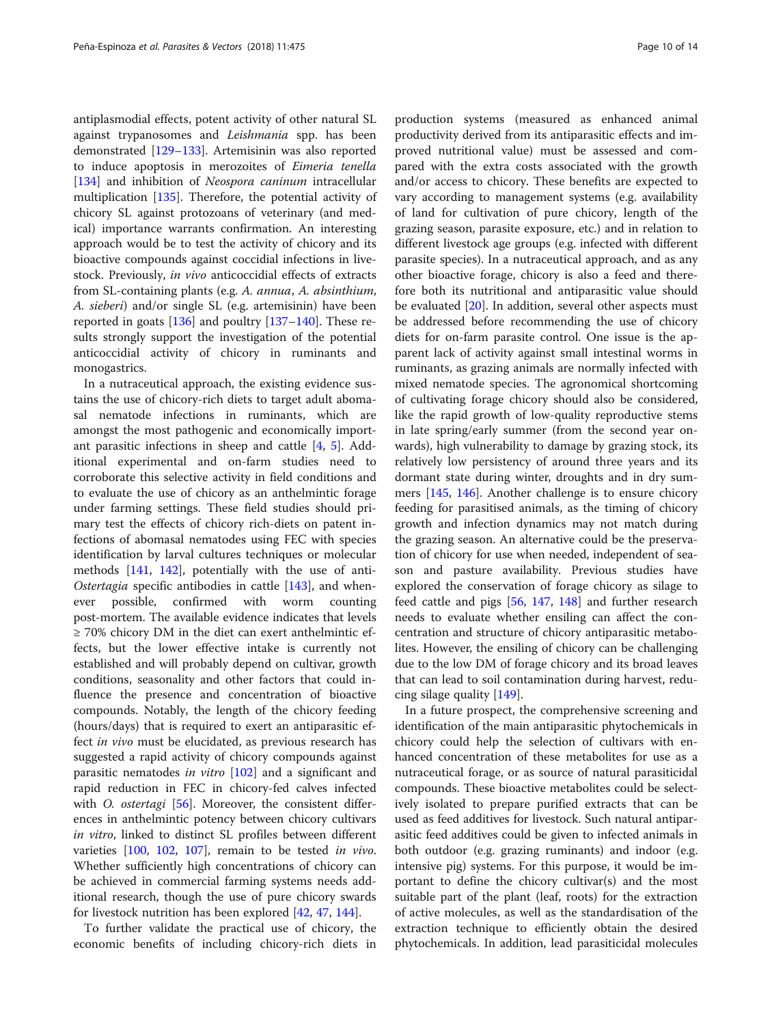antiplasmodial effects, potent activity of other natural SL against trypanosomes and Leishmania spp. has been demonstrated [[129](#page-13-0)–[133](#page-13-0)]. Artemisinin was also reported to induce apoptosis in merozoites of Eimeria tenella [[134\]](#page-13-0) and inhibition of Neospora caninum intracellular multiplication [\[135\]](#page-13-0). Therefore, the potential activity of chicory SL against protozoans of veterinary (and medical) importance warrants confirmation. An interesting approach would be to test the activity of chicory and its bioactive compounds against coccidial infections in livestock. Previously, in vivo anticoccidial effects of extracts from SL-containing plants (e.g. A. annua, A. absinthium, A. sieberi) and/or single SL (e.g. artemisinin) have been reported in goats [\[136\]](#page-13-0) and poultry [[137](#page-13-0)–[140](#page-13-0)]. These results strongly support the investigation of the potential anticoccidial activity of chicory in ruminants and monogastrics.

In a nutraceutical approach, the existing evidence sustains the use of chicory-rich diets to target adult abomasal nematode infections in ruminants, which are amongst the most pathogenic and economically important parasitic infections in sheep and cattle [[4,](#page-10-0) [5](#page-10-0)]. Additional experimental and on-farm studies need to corroborate this selective activity in field conditions and to evaluate the use of chicory as an anthelmintic forage under farming settings. These field studies should primary test the effects of chicory rich-diets on patent infections of abomasal nematodes using FEC with species identification by larval cultures techniques or molecular methods [[141](#page-13-0), [142\]](#page-13-0), potentially with the use of anti-Ostertagia specific antibodies in cattle [[143](#page-13-0)], and whenever possible, confirmed with worm counting post-mortem. The available evidence indicates that levels ≥ 70% chicory DM in the diet can exert anthelmintic effects, but the lower effective intake is currently not established and will probably depend on cultivar, growth conditions, seasonality and other factors that could influence the presence and concentration of bioactive compounds. Notably, the length of the chicory feeding (hours/days) that is required to exert an antiparasitic effect in vivo must be elucidated, as previous research has suggested a rapid activity of chicory compounds against parasitic nematodes in vitro [[102](#page-12-0)] and a significant and rapid reduction in FEC in chicory-fed calves infected with O. ostertagi [[56\]](#page-11-0). Moreover, the consistent differences in anthelmintic potency between chicory cultivars in vitro, linked to distinct SL profiles between different varieties [\[100](#page-12-0), [102](#page-12-0), [107](#page-13-0)], remain to be tested in vivo. Whether sufficiently high concentrations of chicory can be achieved in commercial farming systems needs additional research, though the use of pure chicory swards for livestock nutrition has been explored [\[42](#page-11-0), [47,](#page-11-0) [144\]](#page-13-0).

To further validate the practical use of chicory, the economic benefits of including chicory-rich diets in

production systems (measured as enhanced animal productivity derived from its antiparasitic effects and improved nutritional value) must be assessed and compared with the extra costs associated with the growth and/or access to chicory. These benefits are expected to vary according to management systems (e.g. availability of land for cultivation of pure chicory, length of the grazing season, parasite exposure, etc.) and in relation to different livestock age groups (e.g. infected with different parasite species). In a nutraceutical approach, and as any other bioactive forage, chicory is also a feed and therefore both its nutritional and antiparasitic value should be evaluated [[20\]](#page-11-0). In addition, several other aspects must be addressed before recommending the use of chicory diets for on-farm parasite control. One issue is the apparent lack of activity against small intestinal worms in ruminants, as grazing animals are normally infected with mixed nematode species. The agronomical shortcoming of cultivating forage chicory should also be considered, like the rapid growth of low-quality reproductive stems in late spring/early summer (from the second year onwards), high vulnerability to damage by grazing stock, its relatively low persistency of around three years and its dormant state during winter, droughts and in dry summers [[145](#page-13-0), [146](#page-13-0)]. Another challenge is to ensure chicory feeding for parasitised animals, as the timing of chicory growth and infection dynamics may not match during the grazing season. An alternative could be the preservation of chicory for use when needed, independent of season and pasture availability. Previous studies have explored the conservation of forage chicory as silage to feed cattle and pigs [\[56](#page-11-0), [147,](#page-13-0) [148\]](#page-13-0) and further research needs to evaluate whether ensiling can affect the concentration and structure of chicory antiparasitic metabolites. However, the ensiling of chicory can be challenging due to the low DM of forage chicory and its broad leaves that can lead to soil contamination during harvest, reducing silage quality [[149](#page-13-0)].

In a future prospect, the comprehensive screening and identification of the main antiparasitic phytochemicals in chicory could help the selection of cultivars with enhanced concentration of these metabolites for use as a nutraceutical forage, or as source of natural parasiticidal compounds. These bioactive metabolites could be selectively isolated to prepare purified extracts that can be used as feed additives for livestock. Such natural antiparasitic feed additives could be given to infected animals in both outdoor (e.g. grazing ruminants) and indoor (e.g. intensive pig) systems. For this purpose, it would be important to define the chicory cultivar(s) and the most suitable part of the plant (leaf, roots) for the extraction of active molecules, as well as the standardisation of the extraction technique to efficiently obtain the desired phytochemicals. In addition, lead parasiticidal molecules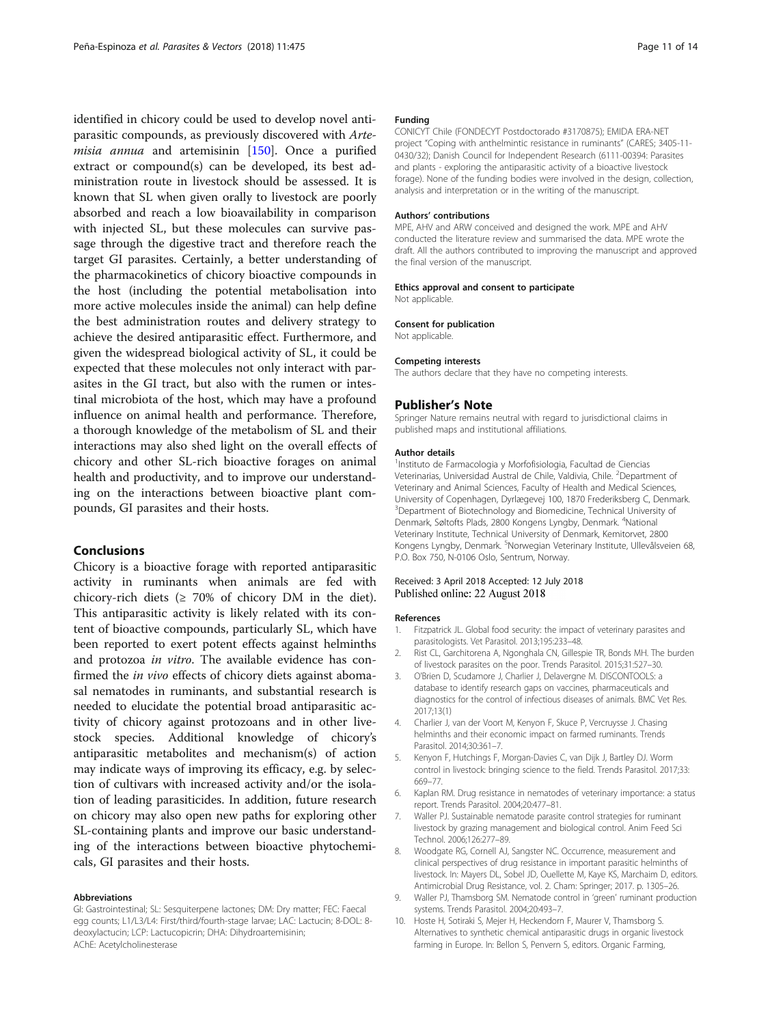<span id="page-10-0"></span>identified in chicory could be used to develop novel antiparasitic compounds, as previously discovered with Artemisia annua and artemisinin  $[150]$ . Once a purified extract or compound(s) can be developed, its best administration route in livestock should be assessed. It is known that SL when given orally to livestock are poorly absorbed and reach a low bioavailability in comparison with injected SL, but these molecules can survive passage through the digestive tract and therefore reach the target GI parasites. Certainly, a better understanding of the pharmacokinetics of chicory bioactive compounds in the host (including the potential metabolisation into more active molecules inside the animal) can help define the best administration routes and delivery strategy to achieve the desired antiparasitic effect. Furthermore, and given the widespread biological activity of SL, it could be expected that these molecules not only interact with parasites in the GI tract, but also with the rumen or intestinal microbiota of the host, which may have a profound influence on animal health and performance. Therefore, a thorough knowledge of the metabolism of SL and their interactions may also shed light on the overall effects of chicory and other SL-rich bioactive forages on animal health and productivity, and to improve our understanding on the interactions between bioactive plant compounds, GI parasites and their hosts.

# Conclusions

Chicory is a bioactive forage with reported antiparasitic activity in ruminants when animals are fed with chicory-rich diets ( $\geq 70\%$  of chicory DM in the diet). This antiparasitic activity is likely related with its content of bioactive compounds, particularly SL, which have been reported to exert potent effects against helminths and protozoa in vitro. The available evidence has confirmed the in vivo effects of chicory diets against abomasal nematodes in ruminants, and substantial research is needed to elucidate the potential broad antiparasitic activity of chicory against protozoans and in other livestock species. Additional knowledge of chicory's antiparasitic metabolites and mechanism(s) of action may indicate ways of improving its efficacy, e.g. by selection of cultivars with increased activity and/or the isolation of leading parasiticides. In addition, future research on chicory may also open new paths for exploring other SL-containing plants and improve our basic understanding of the interactions between bioactive phytochemicals, GI parasites and their hosts.

#### Abbreviations

GI: Gastrointestinal; SL: Sesquiterpene lactones; DM: Dry matter; FEC: Faecal egg counts; L1/L3/L4: First/third/fourth-stage larvae; LAC: Lactucin; 8-DOL: 8 deoxylactucin; LCP: Lactucopicrin; DHA: Dihydroartemisinin; AChE: Acetylcholinesterase

#### Funding

CONICYT Chile (FONDECYT Postdoctorado #3170875); EMIDA ERA-NET project "Coping with anthelmintic resistance in ruminants" (CARES; 3405-11- 0430/32); Danish Council for Independent Research (6111-00394: Parasites and plants - exploring the antiparasitic activity of a bioactive livestock forage). None of the funding bodies were involved in the design, collection, analysis and interpretation or in the writing of the manuscript.

#### Authors' contributions

MPE, AHV and ARW conceived and designed the work. MPE and AHV conducted the literature review and summarised the data. MPE wrote the draft. All the authors contributed to improving the manuscript and approved the final version of the manuscript.

#### Ethics approval and consent to participate

Not applicable.

Not applicable.

Consent for publication

# Competing interests

The authors declare that they have no competing interests.

#### Publisher's Note

Springer Nature remains neutral with regard to jurisdictional claims in published maps and institutional affiliations.

#### Author details

<sup>1</sup>Instituto de Farmacologia y Morfofisiologia, Facultad de Ciencias Veterinarias, Universidad Austral de Chile, Valdivia, Chile. <sup>2</sup>Department of Veterinary and Animal Sciences, Faculty of Health and Medical Sciences, University of Copenhagen, Dyrlægevej 100, 1870 Frederiksberg C, Denmark. <sup>3</sup>Department of Biotechnology and Biomedicine, Technical University of Denmark, Søltofts Plads, 2800 Kongens Lyngby, Denmark. <sup>4</sup>National Veterinary Institute, Technical University of Denmark, Kemitorvet, 2800 Kongens Lyngby, Denmark. <sup>5</sup>Norwegian Veterinary Institute, Ullevålsveien 68 P.O. Box 750, N-0106 Oslo, Sentrum, Norway.

#### Received: 3 April 2018 Accepted: 12 July 2018 Published online: 22 August 2018

#### References

- 1. Fitzpatrick JL. Global food security: the impact of veterinary parasites and parasitologists. Vet Parasitol. 2013;195:233–48.
- 2. Rist CL, Garchitorena A, Ngonghala CN, Gillespie TR, Bonds MH. The burden of livestock parasites on the poor. Trends Parasitol. 2015;31:527–30.
- 3. O'Brien D, Scudamore J, Charlier J, Delavergne M. DISCONTOOLS: a database to identify research gaps on vaccines, pharmaceuticals and diagnostics for the control of infectious diseases of animals. BMC Vet Res. 2017;13(1)
- 4. Charlier J, van der Voort M, Kenyon F, Skuce P, Vercruysse J. Chasing helminths and their economic impact on farmed ruminants. Trends Parasitol. 2014;30:361–7.
- 5. Kenyon F, Hutchings F, Morgan-Davies C, van Dijk J, Bartley DJ. Worm control in livestock: bringing science to the field. Trends Parasitol. 2017;33: 669–77.
- 6. Kaplan RM. Drug resistance in nematodes of veterinary importance: a status report. Trends Parasitol. 2004;20:477–81.
- 7. Waller PJ. Sustainable nematode parasite control strategies for ruminant livestock by grazing management and biological control. Anim Feed Sci Technol. 2006;126:277–89.
- 8. Woodgate RG, Cornell AJ, Sangster NC. Occurrence, measurement and clinical perspectives of drug resistance in important parasitic helminths of livestock. In: Mayers DL, Sobel JD, Ouellette M, Kaye KS, Marchaim D, editors. Antimicrobial Drug Resistance, vol. 2. Cham: Springer; 2017. p. 1305–26.
- 9. Waller PJ, Thamsborg SM. Nematode control in 'green' ruminant production systems. Trends Parasitol. 2004;20:493–7.
- 10. Hoste H, Sotiraki S, Mejer H, Heckendorn F, Maurer V, Thamsborg S. Alternatives to synthetic chemical antiparasitic drugs in organic livestock farming in Europe. In: Bellon S, Penvern S, editors. Organic Farming,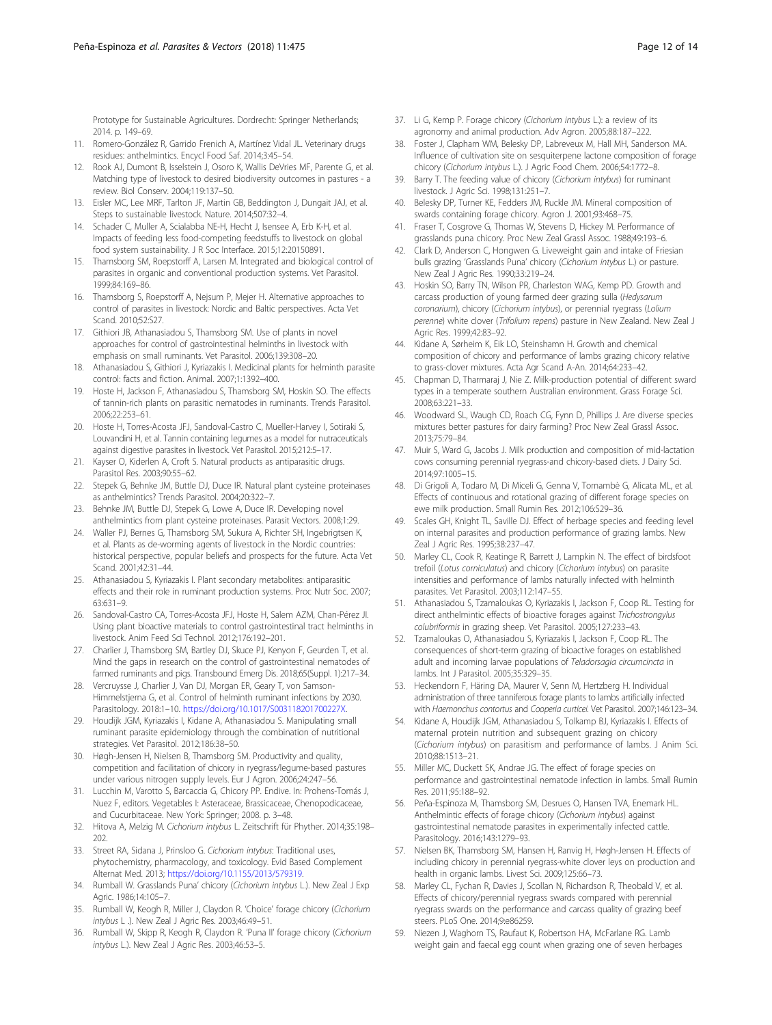<span id="page-11-0"></span>Prototype for Sustainable Agricultures. Dordrecht: Springer Netherlands; 2014. p. 149–69.

- 11. Romero-González R, Garrido Frenich A, Martínez Vidal JL. Veterinary drugs residues: anthelmintics. Encycl Food Saf. 2014;3:45–54.
- 12. Rook AJ, Dumont B, Isselstein J, Osoro K, Wallis DeVries MF, Parente G, et al. Matching type of livestock to desired biodiversity outcomes in pastures - a review. Biol Conserv. 2004;119:137–50.
- 13. Eisler MC, Lee MRF, Tarlton JF, Martin GB, Beddington J, Dungait JAJ, et al. Steps to sustainable livestock. Nature. 2014;507:32–4.
- 14. Schader C, Muller A, Scialabba NE-H, Hecht J, Isensee A, Erb K-H, et al. Impacts of feeding less food-competing feedstuffs to livestock on global food system sustainability. J R Soc Interface. 2015;12:20150891.
- 15. Thamsborg SM, Roepstorff A, Larsen M. Integrated and biological control of parasites in organic and conventional production systems. Vet Parasitol. 1999;84:169–86.
- 16. Thamsborg S, Roepstorff A, Nejsum P, Mejer H. Alternative approaches to control of parasites in livestock: Nordic and Baltic perspectives. Acta Vet Scand. 2010;52:S27.
- 17. Githiori JB, Athanasiadou S, Thamsborg SM. Use of plants in novel approaches for control of gastrointestinal helminths in livestock with emphasis on small ruminants. Vet Parasitol. 2006;139:308–20.
- 18. Athanasiadou S, Githiori J, Kyriazakis I. Medicinal plants for helminth parasite control: facts and fiction. Animal. 2007;1:1392–400.
- 19. Hoste H, Jackson F, Athanasiadou S, Thamsborg SM, Hoskin SO. The effects of tannin-rich plants on parasitic nematodes in ruminants. Trends Parasitol. 2006;22:253–61.
- 20. Hoste H, Torres-Acosta JFJ, Sandoval-Castro C, Mueller-Harvey I, Sotiraki S, Louvandini H, et al. Tannin containing legumes as a model for nutraceuticals against digestive parasites in livestock. Vet Parasitol. 2015;212:5–17.
- 21. Kayser O, Kiderlen A, Croft S. Natural products as antiparasitic drugs. Parasitol Res. 2003;90:55–62.
- 22. Stepek G, Behnke JM, Buttle DJ, Duce IR. Natural plant cysteine proteinases as anthelmintics? Trends Parasitol. 2004;20:322–7.
- 23. Behnke JM, Buttle DJ, Stepek G, Lowe A, Duce IR. Developing novel anthelmintics from plant cysteine proteinases. Parasit Vectors. 2008;1:29.
- 24. Waller PJ, Bernes G, Thamsborg SM, Sukura A, Richter SH, Ingebrigtsen K, et al. Plants as de-worming agents of livestock in the Nordic countries: historical perspective, popular beliefs and prospects for the future. Acta Vet Scand. 2001;42:31–44.
- 25. Athanasiadou S, Kyriazakis I. Plant secondary metabolites: antiparasitic effects and their role in ruminant production systems. Proc Nutr Soc. 2007; 63:631–9.
- 26. Sandoval-Castro CA, Torres-Acosta JFJ, Hoste H, Salem AZM, Chan-Pérez JI. Using plant bioactive materials to control gastrointestinal tract helminths in livestock. Anim Feed Sci Technol. 2012;176:192–201.
- 27. Charlier J, Thamsborg SM, Bartley DJ, Skuce PJ, Kenyon F, Geurden T, et al. Mind the gaps in research on the control of gastrointestinal nematodes of farmed ruminants and pigs. Transbound Emerg Dis. 2018;65(Suppl. 1):217–34.
- 28. Vercruysse J, Charlier J, Van DJ, Morgan ER, Geary T, von Samson-Himmelstjerna G, et al. Control of helminth ruminant infections by 2030. Parasitology. 2018:1–10. [https://doi.org/10.1017/S003118201700227X.](https://doi.org/10.1017/S003118201700227X)
- 29. Houdijk JGM, Kyriazakis I, Kidane A, Athanasiadou S. Manipulating small ruminant parasite epidemiology through the combination of nutritional strategies. Vet Parasitol. 2012;186:38–50.
- 30. Høgh-Jensen H, Nielsen B, Thamsborg SM. Productivity and quality, competition and facilitation of chicory in ryegrass/legume-based pastures under various nitrogen supply levels. Eur J Agron. 2006;24:247–56.
- 31. Lucchin M, Varotto S, Barcaccia G, Chicory PP. Endive. In: Prohens-Tomás J, Nuez F, editors. Vegetables I: Asteraceae, Brassicaceae, Chenopodicaceae, and Cucurbitaceae. New York: Springer; 2008. p. 3–48.
- 32. Hitova A, Melzig M. Cichorium intybus L. Zeitschrift für Phyther. 2014;35:198– 202.
- 33. Street RA, Sidana J, Prinsloo G. Cichorium intybus: Traditional uses, phytochemistry, pharmacology, and toxicology. Evid Based Complement Alternat Med. 2013; <https://doi.org/10.1155/2013/579319>.
- 34. Rumball W. Grasslands Puna' chicory (Cichorium intybus L.). New Zeal J Exp Agric. 1986;14:105–7.
- 35. Rumball W, Keogh R, Miller J, Claydon R. 'Choice' forage chicory (Cichorium intybus L .). New Zeal J Agric Res. 2003;46:49–51.
- 36. Rumball W, Skipp R, Keogh R, Claydon R. 'Puna II' forage chicory (Cichorium intybus L.). New Zeal J Agric Res. 2003;46:53–5.
- 37. Li G, Kemp P. Forage chicory (Cichorium intybus L.): a review of its agronomy and animal production. Adv Agron. 2005;88:187–222.
- 38. Foster J, Clapham WM, Belesky DP, Labreveux M, Hall MH, Sanderson MA. Influence of cultivation site on sesquiterpene lactone composition of forage chicory (Cichorium intybus L.). J Agric Food Chem. 2006;54:1772–8.
- 39. Barry T. The feeding value of chicory (Cichorium intybus) for ruminant livestock. J Agric Sci. 1998;131:251–7.
- 40. Belesky DP, Turner KE, Fedders JM, Ruckle JM. Mineral composition of swards containing forage chicory. Agron J. 2001;93:468–75.
- 41. Fraser T, Cosgrove G, Thomas W, Stevens D, Hickey M. Performance of grasslands puna chicory. Proc New Zeal Grassl Assoc. 1988;49:193–6.
- 42. Clark D, Anderson C, Hongwen G. Liveweight gain and intake of Friesian bulls grazing 'Grasslands Puna' chicory (Cichorium intybus L.) or pasture. New Zeal J Agric Res. 1990;33:219–24.
- 43. Hoskin SO, Barry TN, Wilson PR, Charleston WAG, Kemp PD. Growth and carcass production of young farmed deer grazing sulla (Hedysarum coronarium), chicory (Cichorium intybus), or perennial ryegrass (Lolium perenne) white clover (Trifolium repens) pasture in New Zealand. New Zeal J Agric Res. 1999;42:83-92.
- 44. Kidane A, Sørheim K, Eik LO, Steinshamn H. Growth and chemical composition of chicory and performance of lambs grazing chicory relative to grass-clover mixtures. Acta Agr Scand A-An. 2014;64:233–42.
- 45. Chapman D, Tharmaraj J, Nie Z. Milk-production potential of different sward types in a temperate southern Australian environment. Grass Forage Sci. 2008;63:221–33.
- 46. Woodward SL, Waugh CD, Roach CG, Fynn D, Phillips J. Are diverse species mixtures better pastures for dairy farming? Proc New Zeal Grassl Assoc. 2013;75:79–84.
- 47. Muir S, Ward G, Jacobs J. Milk production and composition of mid-lactation cows consuming perennial ryegrass-and chicory-based diets. J Dairy Sci. 2014;97:1005–15.
- 48. Di Grigoli A, Todaro M, Di Miceli G, Genna V, Tornambè G, Alicata ML, et al. Effects of continuous and rotational grazing of different forage species on ewe milk production. Small Rumin Res. 2012;106:S29–36.
- 49. Scales GH, Knight TL, Saville DJ. Effect of herbage species and feeding level on internal parasites and production performance of grazing lambs. New Zeal J Agric Res. 1995;38:237–47.
- 50. Marley CL, Cook R, Keatinge R, Barrett J, Lampkin N. The effect of birdsfoot trefoil (Lotus corniculatus) and chicory (Cichorium intybus) on parasite intensities and performance of lambs naturally infected with helminth parasites. Vet Parasitol. 2003;112:147–55.
- 51. Athanasiadou S, Tzamaloukas O, Kyriazakis I, Jackson F, Coop RL. Testing for direct anthelmintic effects of bioactive forages against Trichostrongylus colubriformis in grazing sheep. Vet Parasitol. 2005;127:233–43.
- 52. Tzamaloukas O, Athanasiadou S, Kyriazakis I, Jackson F, Coop RL. The consequences of short-term grazing of bioactive forages on established adult and incoming larvae populations of Teladorsagia circumcincta in lambs. Int J Parasitol. 2005;35:329–35.
- 53. Heckendorn F, Häring DA, Maurer V, Senn M, Hertzberg H. Individual administration of three tanniferous forage plants to lambs artificially infected with Haemonchus contortus and Cooperia curticei. Vet Parasitol. 2007;146:123–34.
- 54. Kidane A, Houdijk JGM, Athanasiadou S, Tolkamp BJ, Kyriazakis I. Effects of maternal protein nutrition and subsequent grazing on chicory (Cichorium intybus) on parasitism and performance of lambs. J Anim Sci. 2010;88:1513–21.
- 55. Miller MC, Duckett SK, Andrae JG. The effect of forage species on performance and gastrointestinal nematode infection in lambs. Small Rumin Res. 2011;95:188–92.
- 56. Peña-Espinoza M, Thamsborg SM, Desrues O, Hansen TVA, Enemark HL. Anthelmintic effects of forage chicory (Cichorium intybus) against gastrointestinal nematode parasites in experimentally infected cattle. Parasitology. 2016;143:1279–93.
- 57. Nielsen BK, Thamsborg SM, Hansen H, Ranvig H, Høgh-Jensen H. Effects of including chicory in perennial ryegrass-white clover leys on production and health in organic lambs. Livest Sci. 2009;125:66–73.
- 58. Marley CL, Fychan R, Davies J, Scollan N, Richardson R, Theobald V, et al. Effects of chicory/perennial ryegrass swards compared with perennial ryegrass swards on the performance and carcass quality of grazing beef steers. PLoS One. 2014;9:e86259.
- 59. Niezen J, Waghorn TS, Raufaut K, Robertson HA, McFarlane RG. Lamb weight gain and faecal egg count when grazing one of seven herbages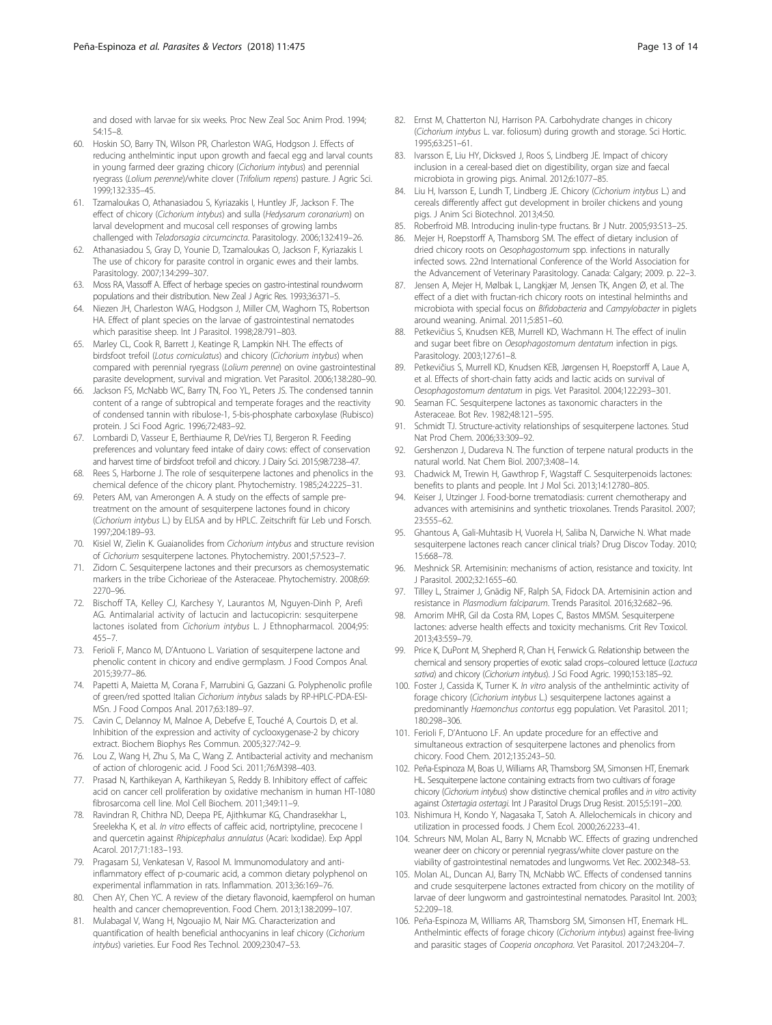<span id="page-12-0"></span>and dosed with larvae for six weeks. Proc New Zeal Soc Anim Prod. 1994; 54:15–8.

- 60. Hoskin SO, Barry TN, Wilson PR, Charleston WAG, Hodgson J. Effects of reducing anthelmintic input upon growth and faecal egg and larval counts in young farmed deer grazing chicory (Cichorium intybus) and perennial ryegrass (Lolium perenne)/white clover (Trifolium repens) pasture. J Agric Sci. 1999;132:335–45.
- 61. Tzamaloukas O, Athanasiadou S, Kyriazakis I, Huntley JF, Jackson F. The effect of chicory (Cichorium intybus) and sulla (Hedysarum coronarium) on larval development and mucosal cell responses of growing lambs challenged with Teladorsagia circumcincta. Parasitology. 2006;132:419–26.
- 62. Athanasiadou S, Gray D, Younie D, Tzamaloukas O, Jackson F, Kyriazakis I. The use of chicory for parasite control in organic ewes and their lambs. Parasitology. 2007;134:299–307.
- 63. Moss RA, Vlassoff A. Effect of herbage species on gastro-intestinal roundworm populations and their distribution. New Zeal J Agric Res. 1993;36:371–5.
- 64. Niezen JH, Charleston WAG, Hodgson J, Miller CM, Waghorn TS, Robertson HA. Effect of plant species on the larvae of gastrointestinal nematodes which parasitise sheep. Int J Parasitol. 1998;28:791–803.
- 65. Marley CL, Cook R, Barrett J, Keatinge R, Lampkin NH. The effects of birdsfoot trefoil (Lotus corniculatus) and chicory (Cichorium intybus) when compared with perennial ryegrass (Lolium perenne) on ovine gastrointestinal parasite development, survival and migration. Vet Parasitol. 2006;138:280–90.
- 66. Jackson FS, McNabb WC, Barry TN, Foo YL, Peters JS. The condensed tannin content of a range of subtropical and temperate forages and the reactivity of condensed tannin with ribulose-1, 5-bis-phosphate carboxylase (Rubisco) protein. J Sci Food Agric. 1996;72:483–92.
- 67. Lombardi D, Vasseur E, Berthiaume R, DeVries TJ, Bergeron R. Feeding preferences and voluntary feed intake of dairy cows: effect of conservation and harvest time of birdsfoot trefoil and chicory. J Dairy Sci. 2015;98:7238–47.
- 68. Rees S, Harborne J. The role of sesquiterpene lactones and phenolics in the chemical defence of the chicory plant. Phytochemistry. 1985;24:2225–31.
- 69. Peters AM, van Amerongen A. A study on the effects of sample pretreatment on the amount of sesquiterpene lactones found in chicory (Cichorium intybus L.) by ELISA and by HPLC. Zeitschrift für Leb und Forsch. 1997;204:189–93.
- 70. Kisiel W, Zielin K. Guaianolides from Cichorium intybus and structure revision of Cichorium sesquiterpene lactones. Phytochemistry. 2001;57:523–7.
- 71. Zidorn C. Sesquiterpene lactones and their precursors as chemosystematic markers in the tribe Cichorieae of the Asteraceae. Phytochemistry. 2008;69: 2270–96.
- 72. Bischoff TA, Kelley CJ, Karchesy Y, Laurantos M, Nguyen-Dinh P, Arefi AG. Antimalarial activity of lactucin and lactucopicrin: sesquiterpene lactones isolated from Cichorium intybus L. J Ethnopharmacol. 2004;95: 455–7.
- 73. Ferioli F, Manco M, D'Antuono L. Variation of sesquiterpene lactone and phenolic content in chicory and endive germplasm. J Food Compos Anal. 2015;39:77–86.
- 74. Papetti A, Maietta M, Corana F, Marrubini G, Gazzani G. Polyphenolic profile of green/red spotted Italian Cichorium intybus salads by RP-HPLC-PDA-ESI-MSn. J Food Compos Anal. 2017;63:189–97.
- 75. Cavin C, Delannoy M, Malnoe A, Debefve E, Touché A, Courtois D, et al. Inhibition of the expression and activity of cyclooxygenase-2 by chicory extract. Biochem Biophys Res Commun. 2005;327:742–9.
- 76. Lou Z, Wang H, Zhu S, Ma C, Wang Z. Antibacterial activity and mechanism of action of chlorogenic acid. J Food Sci. 2011;76:M398–403.
- 77. Prasad N, Karthikeyan A, Karthikeyan S, Reddy B. Inhibitory effect of caffeic acid on cancer cell proliferation by oxidative mechanism in human HT-1080 fibrosarcoma cell line. Mol Cell Biochem. 2011;349:11–9.
- 78. Ravindran R, Chithra ND, Deepa PE, Ajithkumar KG, Chandrasekhar L, Sreelekha K, et al. In vitro effects of caffeic acid, nortriptyline, precocene I and quercetin against Rhipicephalus annulatus (Acari: Ixodidae). Exp Appl Acarol. 2017;71:183–193.
- 79. Pragasam SJ, Venkatesan V, Rasool M. Immunomodulatory and antiinflammatory effect of p-coumaric acid, a common dietary polyphenol on experimental inflammation in rats. Inflammation. 2013;36:169–76.
- 80. Chen AY, Chen YC. A review of the dietary flavonoid, kaempferol on human health and cancer chemoprevention. Food Chem. 2013;138:2099–107.
- 81. Mulabagal V, Wang H, Ngouajio M, Nair MG. Characterization and quantification of health beneficial anthocyanins in leaf chicory (Cichorium intybus) varieties. Eur Food Res Technol. 2009;230:47–53.
- 82. Ernst M, Chatterton NJ, Harrison PA. Carbohydrate changes in chicory (Cichorium intybus L. var. foliosum) during growth and storage. Sci Hortic. 1995;63:251–61.
- 83. Ivarsson E, Liu HY, Dicksved J, Roos S, Lindberg JE. Impact of chicory inclusion in a cereal-based diet on digestibility, organ size and faecal microbiota in growing pigs. Animal. 2012;6:1077–85.
- 84. Liu H, Ivarsson E, Lundh T, Lindberg JE. Chicory (Cichorium intybus L.) and cereals differently affect gut development in broiler chickens and young pigs. J Anim Sci Biotechnol. 2013;4:50.
- 85. Roberfroid MB. Introducing inulin-type fructans. Br J Nutr. 2005;93:S13-25.
- 86. Mejer H, Roepstorff A, Thamsborg SM. The effect of dietary inclusion of dried chicory roots on Oesophagostomum spp. infections in naturally infected sows. 22nd International Conference of the World Association for the Advancement of Veterinary Parasitology. Canada: Calgary; 2009. p. 22–3.
- 87. Jensen A, Mejer H, Mølbak L, Langkjær M, Jensen TK, Angen Ø, et al. The effect of a diet with fructan-rich chicory roots on intestinal helminths and microbiota with special focus on Bifidobacteria and Campylobacter in piglets around weaning. Animal. 2011;5:851–60.
- 88. Petkevičius S, Knudsen KEB, Murrell KD, Wachmann H. The effect of inulin and sugar beet fibre on Oesophagostomum dentatum infection in pigs. Parasitology. 2003;127:61–8.
- 89. Petkevičius S, Murrell KD, Knudsen KEB, Jørgensen H, Roepstorff A, Laue A, et al. Effects of short-chain fatty acids and lactic acids on survival of Oesophagostomum dentatum in pigs. Vet Parasitol. 2004;122:293–301.
- 90. Seaman FC. Sesquiterpene lactones as taxonomic characters in the Asteraceae. Bot Rev. 1982;48:121–595.
- 91. Schmidt TJ. Structure-activity relationships of sesquiterpene lactones. Stud Nat Prod Chem. 2006;33:309–92.
- 92. Gershenzon J, Dudareva N. The function of terpene natural products in the natural world. Nat Chem Biol. 2007;3:408–14.
- 93. Chadwick M, Trewin H, Gawthrop F, Wagstaff C. Sesquiterpenoids lactones: benefits to plants and people. Int J Mol Sci. 2013;14:12780–805.
- 94. Keiser J, Utzinger J. Food-borne trematodiasis: current chemotherapy and advances with artemisinins and synthetic trioxolanes. Trends Parasitol. 2007; 23:555–62.
- 95. Ghantous A, Gali-Muhtasib H, Vuorela H, Saliba N, Darwiche N. What made sesquiterpene lactones reach cancer clinical trials? Drug Discov Today. 2010; 15:668–78.
- 96. Meshnick SR. Artemisinin: mechanisms of action, resistance and toxicity. Int J Parasitol. 2002;32:1655–60.
- 97. Tilley L, Straimer J, Gnädig NF, Ralph SA, Fidock DA. Artemisinin action and resistance in Plasmodium falciparum. Trends Parasitol. 2016;32:682–96.
- 98. Amorim MHR, Gil da Costa RM, Lopes C, Bastos MMSM. Sesquiterpene lactones: adverse health effects and toxicity mechanisms. Crit Rev Toxicol. 2013;43:559–79.
- 99. Price K, DuPont M, Shepherd R, Chan H, Fenwick G. Relationship between the chemical and sensory properties of exotic salad crops–coloured lettuce (Lactuca sativa) and chicory (Cichorium intybus). J Sci Food Agric. 1990;153:185–92.
- 100. Foster J, Cassida K, Turner K. In vitro analysis of the anthelmintic activity of forage chicory (Cichorium intybus L.) sesquiterpene lactones against a predominantly Haemonchus contortus egg population. Vet Parasitol. 2011; 180:298–306.
- 101. Ferioli F, D'Antuono LF. An update procedure for an effective and simultaneous extraction of sesquiterpene lactones and phenolics from chicory. Food Chem. 2012;135:243–50.
- 102. Peña-Espinoza M, Boas U, Williams AR, Thamsborg SM, Simonsen HT, Enemark HL. Sesquiterpene lactone containing extracts from two cultivars of forage chicory (Cichorium intybus) show distinctive chemical profiles and in vitro activity against Ostertagia ostertagi. Int J Parasitol Drugs Drug Resist. 2015;5:191–200.
- 103. Nishimura H, Kondo Y, Nagasaka T, Satoh A. Allelochemicals in chicory and utilization in processed foods. J Chem Ecol. 2000;26:2233–41.
- 104. Schreurs NM, Molan AL, Barry N, Mcnabb WC. Effects of grazing undrenched weaner deer on chicory or perennial ryegrass/white clover pasture on the viability of gastrointestinal nematodes and lungworms. Vet Rec. 2002:348–53.
- 105. Molan AL, Duncan AJ, Barry TN, McNabb WC. Effects of condensed tannins and crude sesquiterpene lactones extracted from chicory on the motility of larvae of deer lungworm and gastrointestinal nematodes. Parasitol Int. 2003; 52:209–18.
- 106. Peña-Espinoza M, Williams AR, Thamsborg SM, Simonsen HT, Enemark HL. Anthelmintic effects of forage chicory (Cichorium intybus) against free-living and parasitic stages of Cooperia oncophora. Vet Parasitol. 2017;243:204–7.